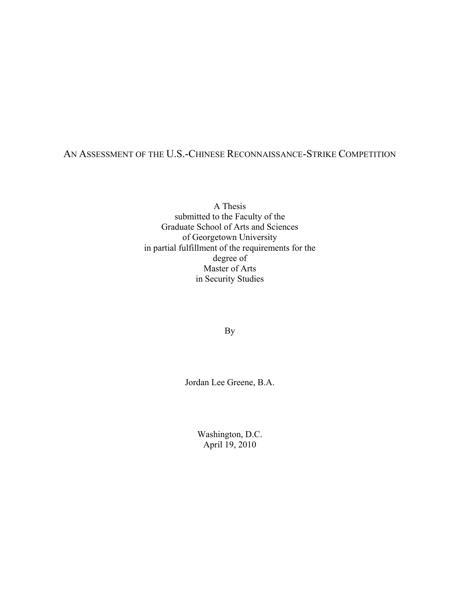## AN ASSESSMENT OF THE U.S.-CHINESE RECONNAISSANCE-STRIKE COMPETITION

A Thesis submitted to the Faculty of the Graduate School of Arts and Sciences of Georgetown University in partial fulfillment of the requirements for the degree of Master of Arts in Security Studies

By

Jordan Lee Greene, B.A.

Washington, D.C. April 19, 2010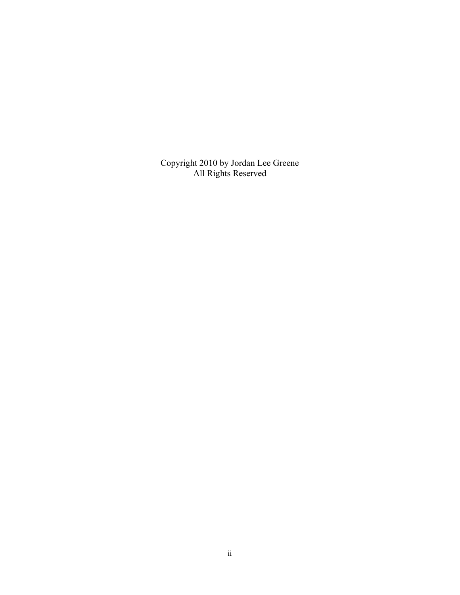Copyright 2010 by Jordan Lee Greene All Rights Reserved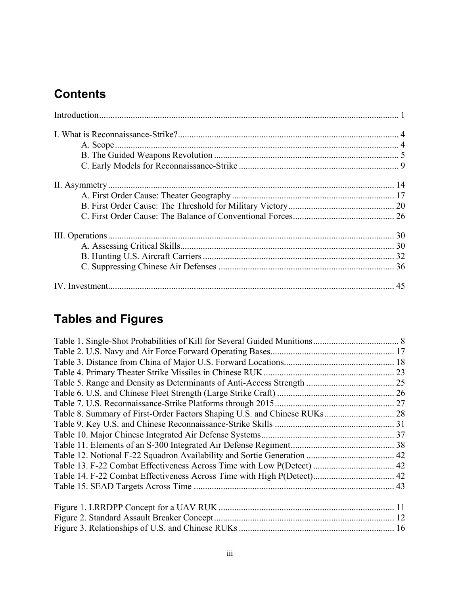# **Contents**

# **Tables and Figures**

| Table 14. F-22 Combat Effectiveness Across Time with High P(Detect) 42 |  |
|------------------------------------------------------------------------|--|
|                                                                        |  |
|                                                                        |  |
|                                                                        |  |
|                                                                        |  |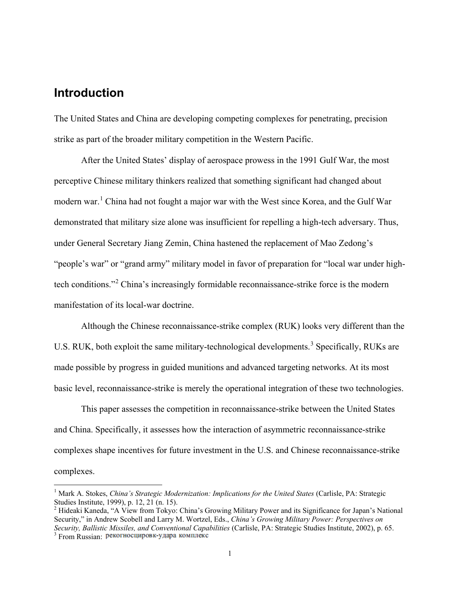# <span id="page-3-0"></span>**Introduction**

The United States and China are developing competing complexes for penetrating, precision strike as part of the broader military competition in the Western Pacific.

After the United States' display of aerospace prowess in the 1991 Gulf War, the most perceptive Chinese military thinkers realized that something significant had changed about modern war.<sup>[1](#page-3-1)</sup> China had not fought a major war with the West since Korea, and the Gulf War demonstrated that military size alone was insufficient for repelling a high-tech adversary. Thus, under General Secretary Jiang Zemin, China hastened the replacement of Mao Zedong's "people's war" or "grand army" military model in favor of preparation for "local war under high-tech conditions."<sup>[2](#page-3-2)</sup> China's increasingly formidable reconnaissance-strike force is the modern manifestation of its local-war doctrine.

Although the Chinese reconnaissance-strike complex (RUK) looks very different than the U.S. RUK, both exploit the same military-technological developments.<sup>[3](#page-3-3)</sup> Specifically, RUKs are made possible by progress in guided munitions and advanced targeting networks. At its most basic level, reconnaissance-strike is merely the operational integration of these two technologies.

This paper assesses the competition in reconnaissance-strike between the United States and China. Specifically, it assesses how the interaction of asymmetric reconnaissance-strike complexes shape incentives for future investment in the U.S. and Chinese reconnaissance-strike complexes.

<span id="page-3-1"></span><sup>&</sup>lt;sup>1</sup> Mark A. Stokes, *China's Strategic Modernization: Implications for the United States* (Carlisle, PA: Strategic Studies Institute, 1999), p. 12, 21 (n. 15).<br><sup>2</sup> Hideaki Kaneda, "A View from Tokyo: China's Growing Military Power and its Significance for Japan's National

<span id="page-3-3"></span><span id="page-3-2"></span>Security," in Andrew Scobell and Larry M. Wortzel, Eds., *China's Growing Military Power: Perspectives on Security, Ballistic Missiles, and Conventional Capabilities* (Carlisle, PA: Strategic Studies Institute, 2002), p. 65. <sup>3</sup> From Russian: рекогносцировк-удара комплекс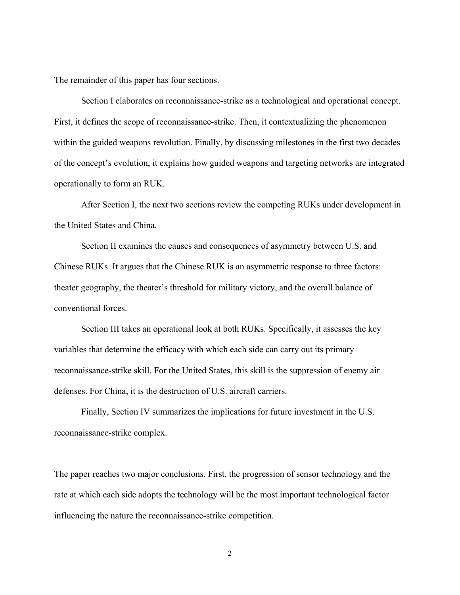The remainder of this paper has four sections.

Section I elaborates on reconnaissance-strike as a technological and operational concept. First, it defines the scope of reconnaissance-strike. Then, it contextualizing the phenomenon within the guided weapons revolution. Finally, by discussing milestones in the first two decades of the concept's evolution, it explains how guided weapons and targeting networks are integrated operationally to form an RUK.

After Section I, the next two sections review the competing RUKs under development in the United States and China.

Section II examines the causes and consequences of asymmetry between U.S. and Chinese RUKs. It argues that the Chinese RUK is an asymmetric response to three factors: theater geography, the theater's threshold for military victory, and the overall balance of conventional forces.

Section III takes an operational look at both RUKs. Specifically, it assesses the key variables that determine the efficacy with which each side can carry out its primary reconnaissance-strike skill. For the United States, this skill is the suppression of enemy air defenses. For China, it is the destruction of U.S. aircraft carriers.

Finally, Section IV summarizes the implications for future investment in the U.S. reconnaissance-strike complex.

The paper reaches two major conclusions. First, the progression of sensor technology and the rate at which each side adopts the technology will be the most important technological factor influencing the nature the reconnaissance-strike competition.

2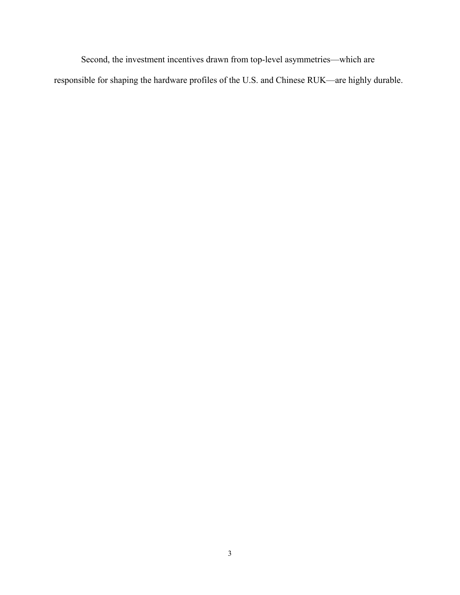Second, the investment incentives drawn from top-level asymmetries—which are responsible for shaping the hardware profiles of the U.S. and Chinese RUK—are highly durable.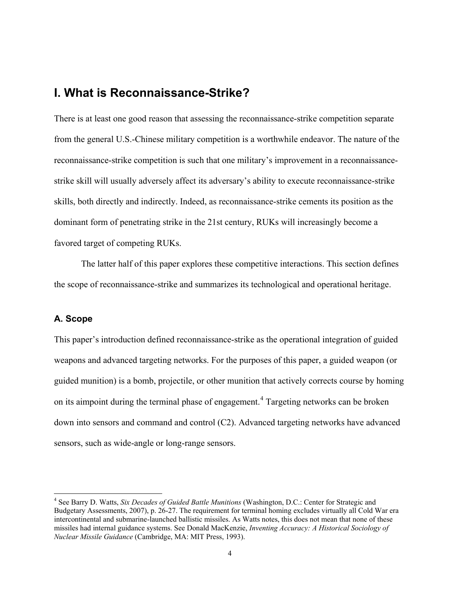# <span id="page-6-0"></span>**I. What is Reconnaissance-Strike?**

There is at least one good reason that assessing the reconnaissance-strike competition separate from the general U.S.-Chinese military competition is a worthwhile endeavor. The nature of the reconnaissance-strike competition is such that one military's improvement in a reconnaissancestrike skill will usually adversely affect its adversary's ability to execute reconnaissance-strike skills, both directly and indirectly. Indeed, as reconnaissance-strike cements its position as the dominant form of penetrating strike in the 21st century, RUKs will increasingly become a favored target of competing RUKs.

The latter half of this paper explores these competitive interactions. This section defines the scope of reconnaissance-strike and summarizes its technological and operational heritage.

### <span id="page-6-1"></span>**A. Scope**

This paper's introduction defined reconnaissance-strike as the operational integration of guided weapons and advanced targeting networks. For the purposes of this paper, a guided weapon (or guided munition) is a bomb, projectile, or other munition that actively corrects course by homing on its aimpoint during the terminal phase of engagement.<sup>[4](#page-6-2)</sup> Targeting networks can be broken down into sensors and command and control (C2). Advanced targeting networks have advanced sensors, such as wide-angle or long-range sensors.

<span id="page-6-2"></span> <sup>4</sup> See Barry D. Watts, *Six Decades of Guided Battle Munitions* (Washington, D.C.: Center for Strategic and Budgetary Assessments, 2007), p. 26-27. The requirement for terminal homing excludes virtually all Cold War era intercontinental and submarine-launched ballistic missiles. As Watts notes, this does not mean that none of these missiles had internal guidance systems. See Donald MacKenzie, *Inventing Accuracy: A Historical Sociology of Nuclear Missile Guidance* (Cambridge, MA: MIT Press, 1993).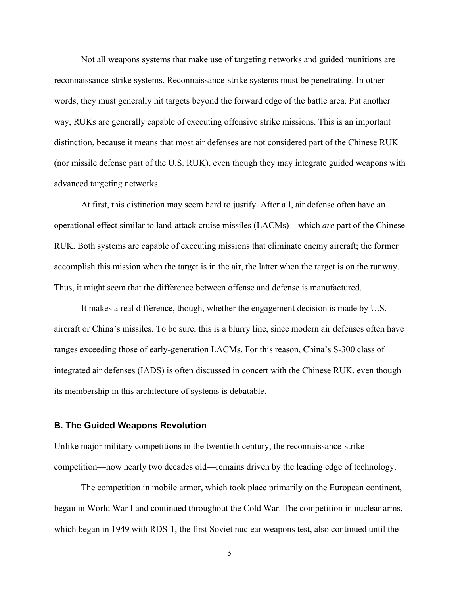Not all weapons systems that make use of targeting networks and guided munitions are reconnaissance-strike systems. Reconnaissance-strike systems must be penetrating. In other words, they must generally hit targets beyond the forward edge of the battle area. Put another way, RUKs are generally capable of executing offensive strike missions. This is an important distinction, because it means that most air defenses are not considered part of the Chinese RUK (nor missile defense part of the U.S. RUK), even though they may integrate guided weapons with advanced targeting networks.

At first, this distinction may seem hard to justify. After all, air defense often have an operational effect similar to land-attack cruise missiles (LACMs)—which *are* part of the Chinese RUK. Both systems are capable of executing missions that eliminate enemy aircraft; the former accomplish this mission when the target is in the air, the latter when the target is on the runway. Thus, it might seem that the difference between offense and defense is manufactured.

It makes a real difference, though, whether the engagement decision is made by U.S. aircraft or China's missiles. To be sure, this is a blurry line, since modern air defenses often have ranges exceeding those of early-generation LACMs. For this reason, China's S-300 class of integrated air defenses (IADS) is often discussed in concert with the Chinese RUK, even though its membership in this architecture of systems is debatable.

#### <span id="page-7-0"></span>**B. The Guided Weapons Revolution**

Unlike major military competitions in the twentieth century, the reconnaissance-strike competition—now nearly two decades old—remains driven by the leading edge of technology.

The competition in mobile armor, which took place primarily on the European continent, began in World War I and continued throughout the Cold War. The competition in nuclear arms, which began in 1949 with RDS-1, the first Soviet nuclear weapons test, also continued until the

5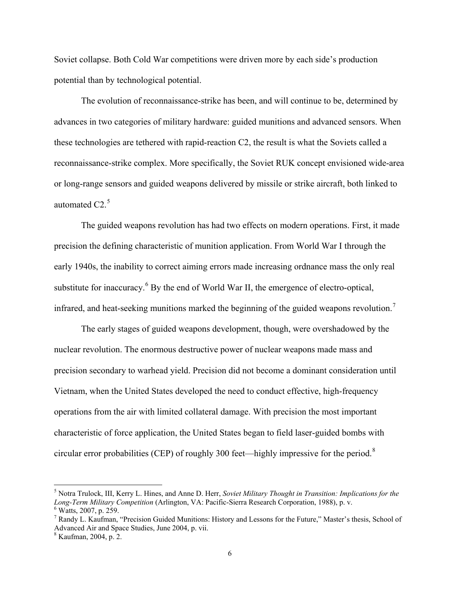Soviet collapse. Both Cold War competitions were driven more by each side's production potential than by technological potential.

The evolution of reconnaissance-strike has been, and will continue to be, determined by advances in two categories of military hardware: guided munitions and advanced sensors. When these technologies are tethered with rapid-reaction C2, the result is what the Soviets called a reconnaissance-strike complex. More specifically, the Soviet RUK concept envisioned wide-area or long-range sensors and guided weapons delivered by missile or strike aircraft, both linked to automated  $C2<sup>5</sup>$  $C2<sup>5</sup>$  $C2<sup>5</sup>$ 

The guided weapons revolution has had two effects on modern operations. First, it made precision the defining characteristic of munition application. From World War I through the early 1940s, the inability to correct aiming errors made increasing ordnance mass the only real substitute for inaccuracy.<sup>[6](#page-8-1)</sup> By the end of World War II, the emergence of electro-optical, infrared, and heat-seeking munitions marked the beginning of the guided weapons revolution.<sup>[7](#page-8-2)</sup>

The early stages of guided weapons development, though, were overshadowed by the nuclear revolution. The enormous destructive power of nuclear weapons made mass and precision secondary to warhead yield. Precision did not become a dominant consideration until Vietnam, when the United States developed the need to conduct effective, high-frequency operations from the air with limited collateral damage. With precision the most important characteristic of force application, the United States began to field laser-guided bombs with circular error probabilities (CEP) of roughly 300 feet—highly impressive for the period.[8](#page-8-3)

<span id="page-8-0"></span> <sup>5</sup> Notra Trulock, III, Kerry L. Hines, and Anne D. Herr, *Soviet Military Thought in Transition: Implications for the Long-Term Military Competition* (Arlington, VA: Pacific-Sierra Research Corporation, 1988), p. v. <sup>6</sup> Watts, 2007, p. 259.

<span id="page-8-2"></span><span id="page-8-1"></span> $^7$  Randy L. Kaufman, "Precision Guided Munitions: History and Lessons for the Future," Master's thesis, School of Advanced Air and Space Studies, June 2004, p. vii.

<span id="page-8-3"></span> $8$  Kaufman, 2004, p. 2.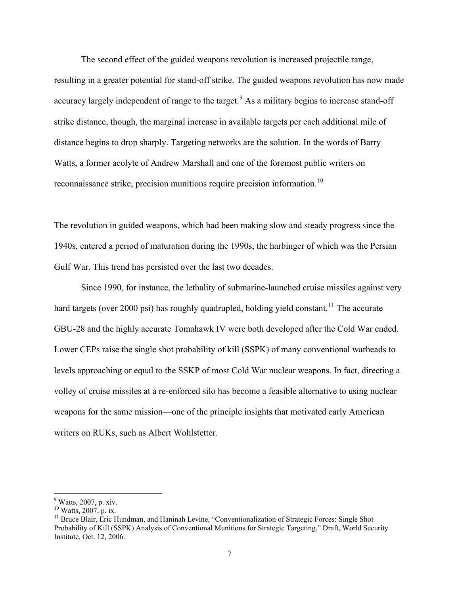The second effect of the guided weapons revolution is increased projectile range, resulting in a greater potential for stand-off strike. The guided weapons revolution has now made accuracy largely independent of range to the target.<sup>[9](#page-9-0)</sup> As a military begins to increase stand-off strike distance, though, the marginal increase in available targets per each additional mile of distance begins to drop sharply. Targeting networks are the solution. In the words of Barry Watts, a former acolyte of Andrew Marshall and one of the foremost public writers on reconnaissance strike, precision munitions require precision information.[10](#page-9-1)

The revolution in guided weapons, which had been making slow and steady progress since the 1940s, entered a period of maturation during the 1990s, the harbinger of which was the Persian Gulf War. This trend has persisted over the last two decades.

Since 1990, for instance, the lethality of submarine-launched cruise missiles against very hard targets (over 2000 psi) has roughly quadrupled, holding yield constant.<sup>[11](#page-9-2)</sup> The accurate GBU-28 and the highly accurate Tomahawk IV were both developed after the Cold War ended. Lower CEPs raise the single shot probability of kill (SSPK) of many conventional warheads to levels approaching or equal to the SSKP of most Cold War nuclear weapons. In fact, directing a volley of cruise missiles at a re-enforced silo has become a feasible alternative to using nuclear weapons for the same mission—one of the principle insights that motivated early American writers on RUKs, such as Albert Wohlstetter.

<span id="page-9-0"></span><sup>&</sup>lt;sup>9</sup> Watts, 2007, p. xiv.<br><sup>10</sup> Watts, 2007, p. ix.

<span id="page-9-2"></span><span id="page-9-1"></span> $11$  Bruce Blair, Eric Hundman, and Haninah Levine, "Conventionalization of Strategic Forces: Single Shot Probability of Kill (SSPK) Analysis of Conventional Munitions for Strategic Targeting," Draft, World Security Institute, Oct. 12, 2006.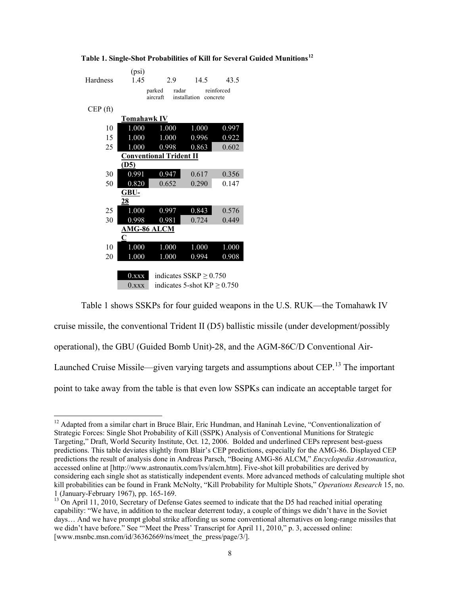|          | (psi)              |                                |                                  |            |
|----------|--------------------|--------------------------------|----------------------------------|------------|
| Hardness | 1.45               | 2.9                            | 14.5                             | 43.5       |
|          |                    | radar<br>parked                |                                  | reinforced |
|          |                    | aircraft                       | installation<br>concrete         |            |
| CEP(ft)  |                    |                                |                                  |            |
|          | Tomahawk IV        |                                |                                  |            |
| 10       | 1.000              | 1.000                          | 1.000                            | 0.997      |
| 15       | 1.000              | 1.000                          | 0.996                            | 0.922      |
| 25       | 1.000              | 0.998                          | 0.863                            | 0.602      |
|          |                    | <b>Conventional Trident II</b> |                                  |            |
|          | (D5)               |                                |                                  |            |
| 30       | 0.991              | 0.947                          | 0.617                            | 0.356      |
| 50       | 0.820              | 0.652                          | 0.290                            | 0.147      |
|          | GBU-               |                                |                                  |            |
|          | 28                 |                                |                                  |            |
| 25       | 1.000              | 0.997                          | 0.843                            | 0.576      |
| 30       | 0.998              | 0.981                          | 0.724                            | 0.449      |
|          | <b>AMG-86 ALCM</b> |                                |                                  |            |
|          | C                  |                                |                                  |            |
| 10       | 1.000              | 1.000                          | 1.000                            | 1.000      |
| 20       | 1.000              | 1.000                          | 0.994                            | 0.908      |
|          |                    |                                |                                  |            |
|          | $0.$ xxx           |                                | indicates $SSKP \geq 0.750$      |            |
|          | $0.$ xxx           |                                | indicates 5-shot $KP \geq 0.750$ |            |

<span id="page-10-0"></span>**Table 1. Single-Shot Probabilities of Kill for Several Guided Munitions[12](#page-10-1)**

cruise missile, the conventional Trident II (D5) ballistic missile (under development/possibly operational), the GBU (Guided Bomb Unit)-28, and the AGM-86C/D Conventional Air-Launched Cruise Missile—given varying targets and assumptions about CEP.<sup>[13](#page-10-2)</sup> The important point to take away from the table is that even low SSPKs can indicate an acceptable target for

Table 1 shows SSKPs for four guided weapons in the U.S. RUK—the Tomahawk IV

<span id="page-10-1"></span><sup>&</sup>lt;sup>12</sup> Adapted from a similar chart in Bruce Blair, Eric Hundman, and Haninah Levine, "Conventionalization of Strategic Forces: Single Shot Probability of Kill (SSPK) Analysis of Conventional Munitions for Strategic Targeting," Draft, World Security Institute, Oct. 12, 2006. Bolded and underlined CEPs represent best-guess predictions. This table deviates slightly from Blair's CEP predictions, especially for the AMG-86. Displayed CEP predictions the result of analysis done in Andreas Parsch, "Boeing AMG-86 ALCM," *Encyclopedia Astronautica*, accessed online at [http://www.astronautix.com/lvs/alcm.htm]. Five-shot kill probabilities are derived by considering each single shot as statistically independent events. More advanced methods of calculating multiple shot kill probabilities can be found in Frank McNolty, "Kill Probability for Multiple Shots," *Operations Research* 15, no. 1 (January-February 1967), pp. 165-169.

<span id="page-10-2"></span><sup>&</sup>lt;sup>13</sup> On April 11, 2010, Secretary of Defense Gates seemed to indicate that the D5 had reached initial operating capability: "We have, in addition to the nuclear deterrent today, a couple of things we didn't have in the Soviet days… And we have prompt global strike affording us some conventional alternatives on long-range missiles that we didn't have before." See "'Meet the Press' Transcript for April 11, 2010," p. 3, accessed online: [www.msnbc.msn.com/id/36362669/ns/meet\_the\_press/page/3/].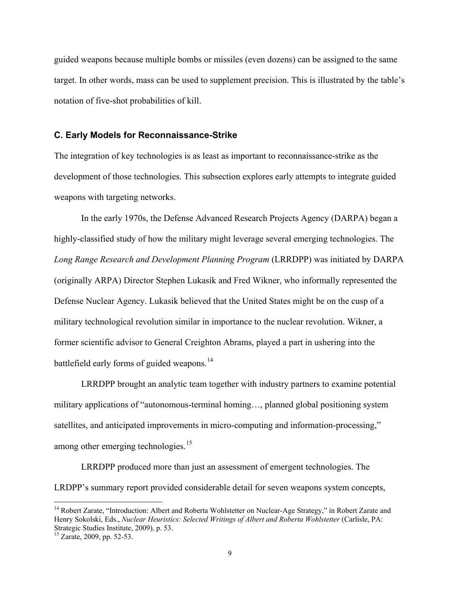guided weapons because multiple bombs or missiles (even dozens) can be assigned to the same target. In other words, mass can be used to supplement precision. This is illustrated by the table's notation of five-shot probabilities of kill.

#### <span id="page-11-0"></span>**C. Early Models for Reconnaissance-Strike**

The integration of key technologies is as least as important to reconnaissance-strike as the development of those technologies. This subsection explores early attempts to integrate guided weapons with targeting networks.

In the early 1970s, the Defense Advanced Research Projects Agency (DARPA) began a highly-classified study of how the military might leverage several emerging technologies. The *Long Range Research and Development Planning Program* (LRRDPP) was initiated by DARPA (originally ARPA) Director Stephen Lukasik and Fred Wikner, who informally represented the Defense Nuclear Agency. Lukasik believed that the United States might be on the cusp of a military technological revolution similar in importance to the nuclear revolution. Wikner, a former scientific advisor to General Creighton Abrams, played a part in ushering into the battlefield early forms of guided weapons.<sup>[14](#page-11-1)</sup>

LRRDPP brought an analytic team together with industry partners to examine potential military applications of "autonomous-terminal homing…, planned global positioning system satellites, and anticipated improvements in micro-computing and information-processing," among other emerging technologies.<sup>[15](#page-11-2)</sup>

LRRDPP produced more than just an assessment of emergent technologies. The LRDPP's summary report provided considerable detail for seven weapons system concepts,

<span id="page-11-1"></span><sup>&</sup>lt;sup>14</sup> Robert Zarate, "Introduction: Albert and Roberta Wohlstetter on Nuclear-Age Strategy," in Robert Zarate and Henry Sokolski, Eds., *Nuclear Heuristics: Selected Writings of Albert and Roberta Wohlstetter* (Carlisle, PA: Strategic Studies Institute, 2009), p. 53.

<span id="page-11-2"></span> $15$  Zarate, 2009, pp. 52-53.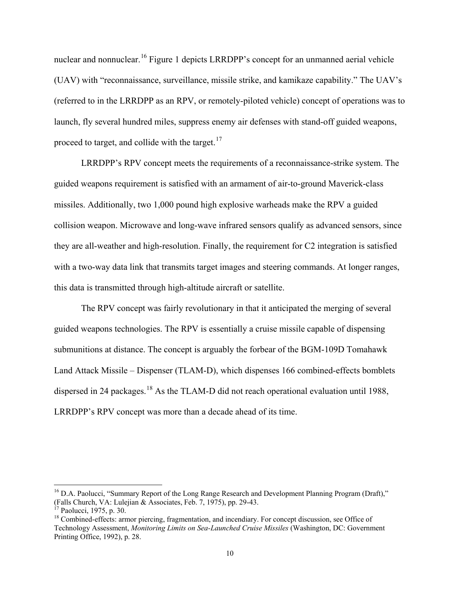nuclear and nonnuclear.<sup>[16](#page-12-0)</sup> Figure 1 depicts LRRDPP's concept for an unmanned aerial vehicle (UAV) with "reconnaissance, surveillance, missile strike, and kamikaze capability." The UAV's (referred to in the LRRDPP as an RPV, or remotely-piloted vehicle) concept of operations was to launch, fly several hundred miles, suppress enemy air defenses with stand-off guided weapons, proceed to target, and collide with the target. $17$ 

LRRDPP's RPV concept meets the requirements of a reconnaissance-strike system. The guided weapons requirement is satisfied with an armament of air-to-ground Maverick-class missiles. Additionally, two 1,000 pound high explosive warheads make the RPV a guided collision weapon. Microwave and long-wave infrared sensors qualify as advanced sensors, since they are all-weather and high-resolution. Finally, the requirement for C2 integration is satisfied with a two-way data link that transmits target images and steering commands. At longer ranges, this data is transmitted through high-altitude aircraft or satellite.

The RPV concept was fairly revolutionary in that it anticipated the merging of several guided weapons technologies. The RPV is essentially a cruise missile capable of dispensing submunitions at distance. The concept is arguably the forbear of the BGM-109D Tomahawk Land Attack Missile – Dispenser (TLAM-D), which dispenses 166 combined-effects bomblets dispersed in 24 packages.<sup>[18](#page-12-2)</sup> As the TLAM-D did not reach operational evaluation until 1988, LRRDPP's RPV concept was more than a decade ahead of its time.

<span id="page-12-0"></span><sup>&</sup>lt;sup>16</sup> D.A. Paolucci, "Summary Report of the Long Range Research and Development Planning Program (Draft)," (Falls Church, VA: Lulejian & Associates, Feb. 7, 1975), pp. 29-43.

<span id="page-12-2"></span><span id="page-12-1"></span><sup>&</sup>lt;sup>17</sup> Paolucci, 1975, p. 30. 18<br><sup>18</sup> Combined-effects: armor piercing, fragmentation, and incendiary. For concept discussion, see Office of Technology Assessment, *Monitoring Limits on Sea-Launched Cruise Missiles* (Washington, DC: Government Printing Office, 1992), p. 28.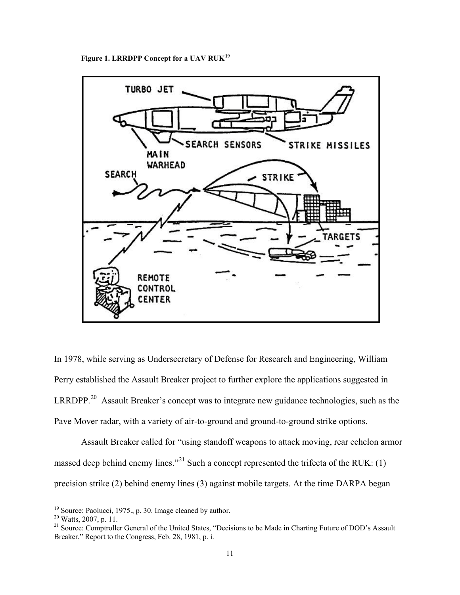**Figure 1. LRRDPP Concept for a UAV RUK[19](#page-13-1)**

<span id="page-13-0"></span>

In 1978, while serving as Undersecretary of Defense for Research and Engineering, William Perry established the Assault Breaker project to further explore the applications suggested in LRRDPP.<sup>[20](#page-13-2)</sup> Assault Breaker's concept was to integrate new guidance technologies, such as the Pave Mover radar, with a variety of air-to-ground and ground-to-ground strike options.

Assault Breaker called for "using standoff weapons to attack moving, rear echelon armor massed deep behind enemy lines."<sup>[21](#page-13-3)</sup> Such a concept represented the trifecta of the RUK: (1) precision strike (2) behind enemy lines (3) against mobile targets. At the time DARPA began

<span id="page-13-1"></span><sup>&</sup>lt;sup>19</sup> Source: Paolucci, 1975., p. 30. Image cleaned by author.<br><sup>20</sup> Watts, 2007, p. 11.

<span id="page-13-3"></span><span id="page-13-2"></span><sup>&</sup>lt;sup>21</sup> Source: Comptroller General of the United States, "Decisions to be Made in Charting Future of DOD's Assault Breaker," Report to the Congress, Feb. 28, 1981, p. i.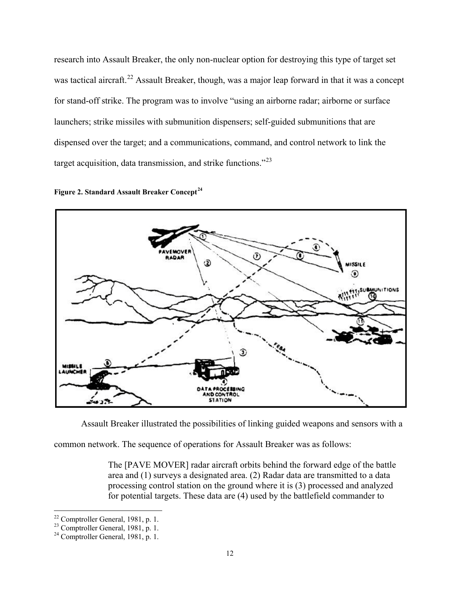research into Assault Breaker, the only non-nuclear option for destroying this type of target set was tactical aircraft.<sup>[22](#page-14-1)</sup> Assault Breaker, though, was a major leap forward in that it was a concept for stand-off strike. The program was to involve "using an airborne radar; airborne or surface launchers; strike missiles with submunition dispensers; self-guided submunitions that are dispensed over the target; and a communications, command, and control network to link the target acquisition, data transmission, and strike functions."[23](#page-14-2)

<span id="page-14-0"></span>



Assault Breaker illustrated the possibilities of linking guided weapons and sensors with a

common network. The sequence of operations for Assault Breaker was as follows:

The [PAVE MOVER] radar aircraft orbits behind the forward edge of the battle area and (1) surveys a designated area. (2) Radar data are transmitted to a data processing control station on the ground where it is (3) processed and analyzed for potential targets. These data are (4) used by the battlefield commander to

<span id="page-14-2"></span><span id="page-14-1"></span><sup>&</sup>lt;sup>22</sup> Comptroller General, 1981, p. 1.<br><sup>23</sup> Comptroller General, 1981, p. 1.<br><sup>24</sup> Comptroller General, 1981, p. 1.

<span id="page-14-3"></span>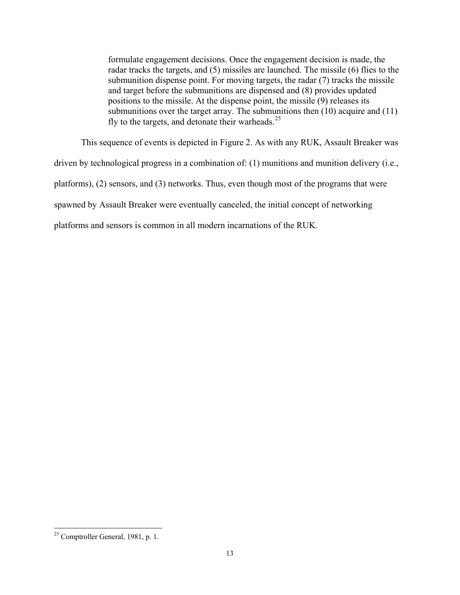formulate engagement decisions. Once the engagement decision is made, the radar tracks the targets, and (5) missiles are launched. The missile (6) flies to the submunition dispense point. For moving targets, the radar (7) tracks the missile and target before the submunitions are dispensed and (8) provides updated positions to the missile. At the dispense point, the missile (9) releases its submunitions over the target array. The submunitions then (10) acquire and (11) fly to the targets, and detonate their warheads. $25$ 

This sequence of events is depicted in Figure 2. As with any RUK, Assault Breaker was

driven by technological progress in a combination of: (1) munitions and munition delivery (i.e.,

platforms), (2) sensors, and (3) networks. Thus, even though most of the programs that were

spawned by Assault Breaker were eventually canceled, the initial concept of networking

platforms and sensors is common in all modern incarnations of the RUK.

<span id="page-15-0"></span> <sup>25</sup> Comptroller General, 1981, p. 1.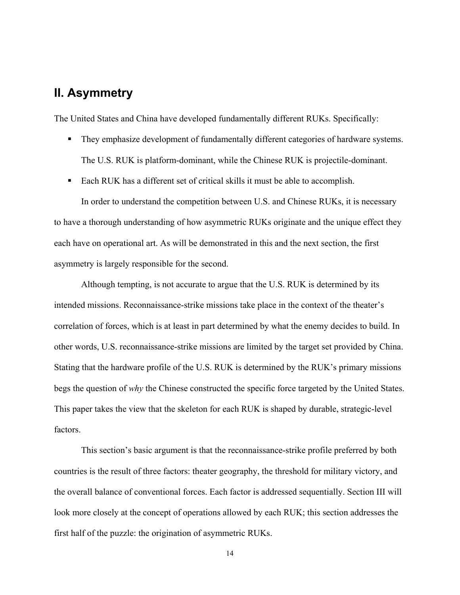# <span id="page-16-0"></span>**II. Asymmetry**

The United States and China have developed fundamentally different RUKs. Specifically:

- They emphasize development of fundamentally different categories of hardware systems. The U.S. RUK is platform-dominant, while the Chinese RUK is projectile-dominant.
- Each RUK has a different set of critical skills it must be able to accomplish.

In order to understand the competition between U.S. and Chinese RUKs, it is necessary to have a thorough understanding of how asymmetric RUKs originate and the unique effect they each have on operational art. As will be demonstrated in this and the next section, the first asymmetry is largely responsible for the second.

Although tempting, is not accurate to argue that the U.S. RUK is determined by its intended missions. Reconnaissance-strike missions take place in the context of the theater's correlation of forces, which is at least in part determined by what the enemy decides to build. In other words, U.S. reconnaissance-strike missions are limited by the target set provided by China. Stating that the hardware profile of the U.S. RUK is determined by the RUK's primary missions begs the question of *why* the Chinese constructed the specific force targeted by the United States. This paper takes the view that the skeleton for each RUK is shaped by durable, strategic-level factors.

This section's basic argument is that the reconnaissance-strike profile preferred by both countries is the result of three factors: theater geography, the threshold for military victory, and the overall balance of conventional forces. Each factor is addressed sequentially. Section III will look more closely at the concept of operations allowed by each RUK; this section addresses the first half of the puzzle: the origination of asymmetric RUKs.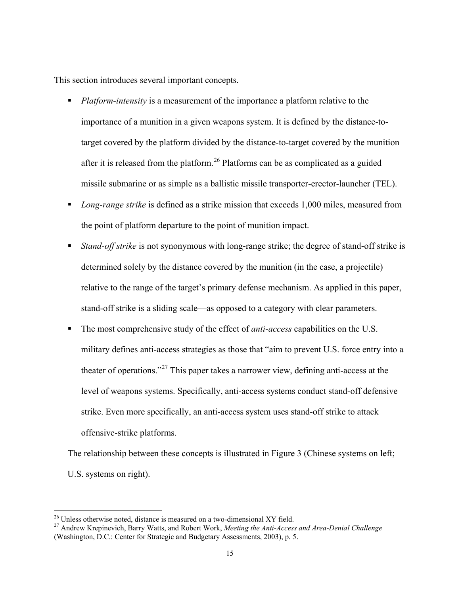This section introduces several important concepts.

- *Platform-intensity* is a measurement of the importance a platform relative to the importance of a munition in a given weapons system. It is defined by the distance-totarget covered by the platform divided by the distance-to-target covered by the munition after it is released from the platform.<sup>[26](#page-17-0)</sup> Platforms can be as complicated as a guided missile submarine or as simple as a ballistic missile transporter-erector-launcher (TEL).
- *Long-range strike* is defined as a strike mission that exceeds 1,000 miles, measured from the point of platform departure to the point of munition impact.
- *Stand-off strike* is not synonymous with long-range strike; the degree of stand-off strike is determined solely by the distance covered by the munition (in the case, a projectile) relative to the range of the target's primary defense mechanism. As applied in this paper, stand-off strike is a sliding scale—as opposed to a category with clear parameters.
- The most comprehensive study of the effect of *anti-access* capabilities on the U.S. military defines anti-access strategies as those that "aim to prevent U.S. force entry into a theater of operations."<sup>[27](#page-17-1)</sup> This paper takes a narrower view, defining anti-access at the level of weapons systems. Specifically, anti-access systems conduct stand-off defensive strike. Even more specifically, an anti-access system uses stand-off strike to attack offensive-strike platforms.

The relationship between these concepts is illustrated in Figure 3 (Chinese systems on left; U.S. systems on right).

<span id="page-17-1"></span><span id="page-17-0"></span><sup>&</sup>lt;sup>26</sup> Unless otherwise noted, distance is measured on a two-dimensional XY field.<br><sup>27</sup> Andrew Krepinevich, Barry Watts, and Robert Work, *Meeting the Anti-Access and Area-Denial Challenge* (Washington, D.C.: Center for Strategic and Budgetary Assessments, 2003), p. 5.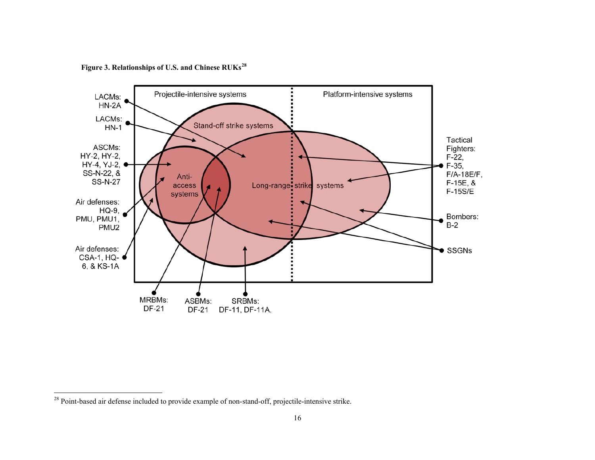<span id="page-18-1"></span>**Figure 3. Relationships of U.S. and Chinese RUKs[28](#page-18-1)**

<span id="page-18-0"></span>

<sup>&</sup>lt;sup>28</sup> Point-based air defense included to provide example of non-stand-off, projectile-intensive strike.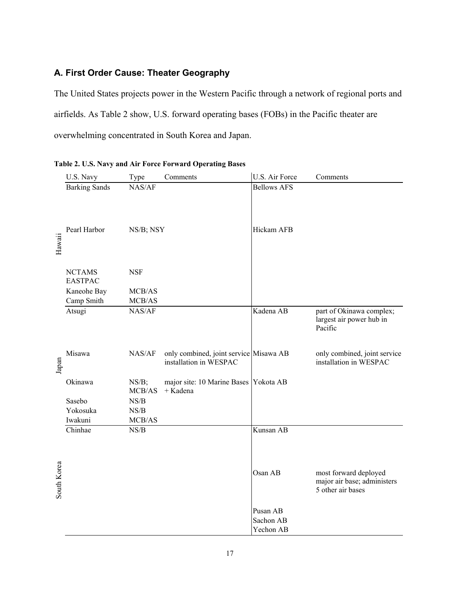## <span id="page-19-0"></span>**A. First Order Cause: Theater Geography**

The United States projects power in the Western Pacific through a network of regional ports and airfields. As Table 2 show, U.S. forward operating bases (FOBs) in the Pacific theater are overwhelming concentrated in South Korea and Japan.

|             | U.S. Navy                       | Type                                                                             | Comments                                                         | U.S. Air Force                     | Comments                                                                  |
|-------------|---------------------------------|----------------------------------------------------------------------------------|------------------------------------------------------------------|------------------------------------|---------------------------------------------------------------------------|
|             | <b>Barking Sands</b>            | NAS/AF                                                                           |                                                                  | <b>Bellows AFS</b>                 |                                                                           |
| Hawaii      | Pearl Harbor                    | NS/B; NSY                                                                        |                                                                  | Hickam AFB                         |                                                                           |
|             | <b>NCTAMS</b><br><b>EASTPAC</b> | <b>NSF</b>                                                                       |                                                                  |                                    |                                                                           |
|             | Kaneohe Bay<br>Camp Smith       | MCB/AS<br>$\rm MCB/AS$                                                           |                                                                  |                                    |                                                                           |
|             | Atsugi                          | NAS/AF                                                                           |                                                                  | Kadena AB                          | part of Okinawa complex;<br>largest air power hub in<br>Pacific           |
| Japan       | Misawa                          | NAS/AF                                                                           | only combined, joint service Misawa AB<br>installation in WESPAC |                                    | only combined, joint service<br>installation in WESPAC                    |
|             | Okinawa                         | NS/B;<br>MCB/AS                                                                  | major site: 10 Marine Bases Yokota AB<br>+ Kadena                |                                    |                                                                           |
|             | Sasebo<br>Yokosuka<br>Iwakuni   | $\ensuremath{\mathit NS}\xspace/\ensuremath{\mathit B}\xspace$<br>NS/B<br>MCB/AS |                                                                  |                                    |                                                                           |
|             | Chinhae                         | NS/B                                                                             |                                                                  | Kunsan AB                          |                                                                           |
| South Korea |                                 |                                                                                  |                                                                  | Osan AB                            | most forward deployed<br>major air base; administers<br>5 other air bases |
|             |                                 |                                                                                  |                                                                  | Pusan AB<br>Sachon AB<br>Yechon AB |                                                                           |

<span id="page-19-1"></span>

|  |  |  |  |  |  |  |  |  |  | Table 2. U.S. Navy and Air Force Forward Operating Bases |  |
|--|--|--|--|--|--|--|--|--|--|----------------------------------------------------------|--|
|--|--|--|--|--|--|--|--|--|--|----------------------------------------------------------|--|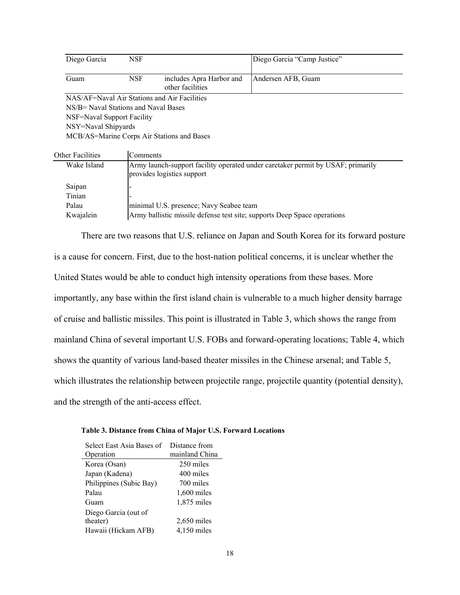| Diego Garcia                         | <b>NSF</b> |                                              | Diego Garcia "Camp Justice"                                                     |
|--------------------------------------|------------|----------------------------------------------|---------------------------------------------------------------------------------|
| Guam                                 | <b>NSF</b> | includes Apra Harbor and<br>other facilities | Andersen AFB, Guam                                                              |
|                                      |            | NAS/AF=Naval Air Stations and Air Facilities |                                                                                 |
| NS/B= Naval Stations and Naval Bases |            |                                              |                                                                                 |
| NSF=Naval Support Facility           |            |                                              |                                                                                 |
| NSY=Naval Shipyards                  |            |                                              |                                                                                 |
|                                      |            | MCB/AS=Marine Corps Air Stations and Bases   |                                                                                 |
| Other Facilities                     | Comments   |                                              |                                                                                 |
| Wake Island                          |            |                                              | Army launch-support facility operated under caretaker permit by USAF; primarily |
|                                      |            | provides logistics support                   |                                                                                 |
| Saipan                               |            |                                              |                                                                                 |
| Tinian                               |            |                                              |                                                                                 |

Kwajalein **Army ballistic missile defense test site**; supports Deep Space operations

There are two reasons that U.S. reliance on Japan and South Korea for its forward posture is a cause for concern. First, due to the host-nation political concerns, it is unclear whether the United States would be able to conduct high intensity operations from these bases. More importantly, any base within the first island chain is vulnerable to a much higher density barrage of cruise and ballistic missiles. This point is illustrated in Table 3, which shows the range from mainland China of several important U.S. FOBs and forward-operating locations; Table 4, which shows the quantity of various land-based theater missiles in the Chinese arsenal; and Table 5, which illustrates the relationship between projectile range, projectile quantity (potential density), and the strength of the anti-access effect.

#### <span id="page-20-0"></span>**Table 3. Distance from China of Major U.S. Forward Locations**

Palau minimal U.S. presence; Navy Seabee team

| Select East Asia Bases of | Distance from  |
|---------------------------|----------------|
| Operation                 | mainland China |
| Korea (Osan)              | 250 miles      |
| Japan (Kadena)            | 400 miles      |
| Philippines (Subic Bay)   | 700 miles      |
| Palau                     | $1,600$ miles  |
| Guam                      | 1,875 miles    |
| Diego Garcia (out of      |                |
| theater)                  | $2,650$ miles  |
| Hawaii (Hickam AFB)       | $4,150$ miles  |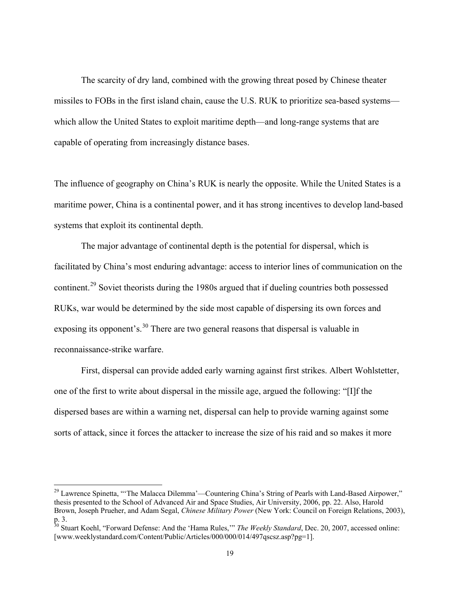The scarcity of dry land, combined with the growing threat posed by Chinese theater missiles to FOBs in the first island chain, cause the U.S. RUK to prioritize sea-based systems which allow the United States to exploit maritime depth—and long-range systems that are capable of operating from increasingly distance bases.

The influence of geography on China's RUK is nearly the opposite. While the United States is a maritime power, China is a continental power, and it has strong incentives to develop land-based systems that exploit its continental depth.

The major advantage of continental depth is the potential for dispersal, which is facilitated by China's most enduring advantage: access to interior lines of communication on the continent.<sup>[29](#page-21-0)</sup> Soviet theorists during the 1980s argued that if dueling countries both possessed RUKs, war would be determined by the side most capable of dispersing its own forces and exposing its opponent's.<sup>[30](#page-21-1)</sup> There are two general reasons that dispersal is valuable in reconnaissance-strike warfare.

First, dispersal can provide added early warning against first strikes. Albert Wohlstetter, one of the first to write about dispersal in the missile age, argued the following: "[I]f the dispersed bases are within a warning net, dispersal can help to provide warning against some sorts of attack, since it forces the attacker to increase the size of his raid and so makes it more

<span id="page-21-0"></span><sup>&</sup>lt;sup>29</sup> Lawrence Spinetta, "The Malacca Dilemma'—Countering China's String of Pearls with Land-Based Airpower," thesis presented to the School of Advanced Air and Space Studies, Air University, 2006, pp. 22. Also, Harold Brown, Joseph Prueher, and Adam Segal, *Chinese Military Power* (New York: Council on Foreign Relations, 2003), p. 3.

<span id="page-21-1"></span><sup>30</sup> Stuart Koehl, "Forward Defense: And the 'Hama Rules,'" *The Weekly Standard*, Dec. 20, 2007, accessed online: [www.weeklystandard.com/Content/Public/Articles/000/000/014/497qscsz.asp?pg=1].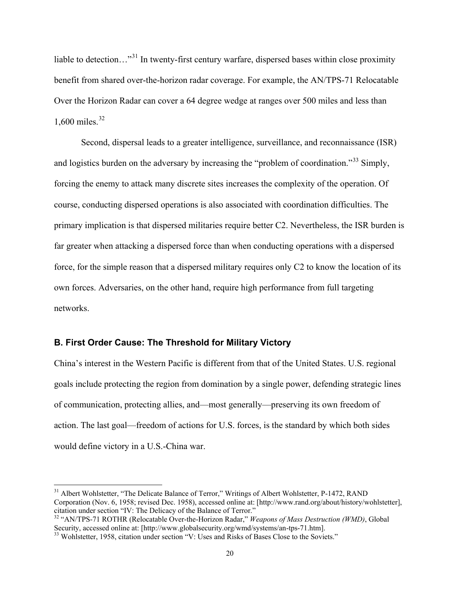liable to detection…"[31](#page-22-1) In twenty-first century warfare, dispersed bases within close proximity benefit from shared over-the-horizon radar coverage. For example, the AN/TPS-71 Relocatable Over the Horizon Radar can cover a 64 degree wedge at ranges over 500 miles and less than 1,600 miles. $32$ 

Second, dispersal leads to a greater intelligence, surveillance, and reconnaissance (ISR) and logistics burden on the adversary by increasing the "problem of coordination."<sup>[33](#page-22-3)</sup> Simply, forcing the enemy to attack many discrete sites increases the complexity of the operation. Of course, conducting dispersed operations is also associated with coordination difficulties. The primary implication is that dispersed militaries require better C2. Nevertheless, the ISR burden is far greater when attacking a dispersed force than when conducting operations with a dispersed force, for the simple reason that a dispersed military requires only C2 to know the location of its own forces. Adversaries, on the other hand, require high performance from full targeting networks.

### <span id="page-22-0"></span>**B. First Order Cause: The Threshold for Military Victory**

China's interest in the Western Pacific is different from that of the United States. U.S. regional goals include protecting the region from domination by a single power, defending strategic lines of communication, protecting allies, and—most generally—preserving its own freedom of action. The last goal—freedom of actions for U.S. forces, is the standard by which both sides would define victory in a U.S.-China war.

<span id="page-22-1"></span><sup>&</sup>lt;sup>31</sup> Albert Wohlstetter, "The Delicate Balance of Terror," Writings of Albert Wohlstetter, P-1472, RAND Corporation (Nov. 6, 1958; revised Dec. 1958), accessed online at: [http://www.rand.org/about/history/wohlstetter], citation under section "IV: The Delicacy of the Balance of Terror."

<span id="page-22-2"></span><sup>32</sup> "AN/TPS-71 ROTHR (Relocatable Over-the-Horizon Radar," *Weapons of Mass Destruction (WMD)*, Global Security, accessed online at: [http://www.globalsecurity.org/wmd/systems/an-tps-71.htm].<br><sup>33</sup> Wohlstetter, 1958, citation under section "V: Uses and Risks of Bases Close to the Soviets."

<span id="page-22-3"></span>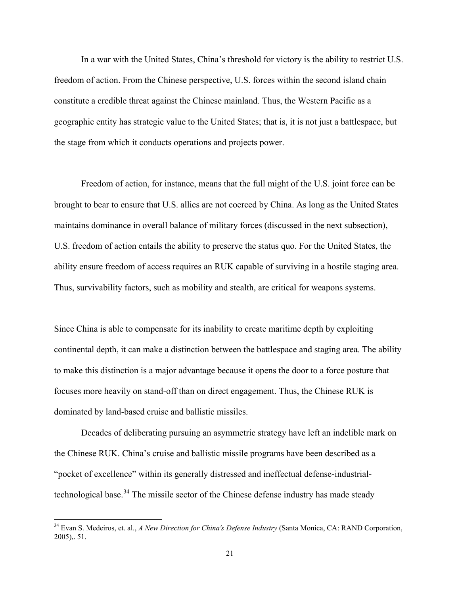In a war with the United States, China's threshold for victory is the ability to restrict U.S. freedom of action. From the Chinese perspective, U.S. forces within the second island chain constitute a credible threat against the Chinese mainland. Thus, the Western Pacific as a geographic entity has strategic value to the United States; that is, it is not just a battlespace, but the stage from which it conducts operations and projects power.

Freedom of action, for instance, means that the full might of the U.S. joint force can be brought to bear to ensure that U.S. allies are not coerced by China. As long as the United States maintains dominance in overall balance of military forces (discussed in the next subsection), U.S. freedom of action entails the ability to preserve the status quo. For the United States, the ability ensure freedom of access requires an RUK capable of surviving in a hostile staging area. Thus, survivability factors, such as mobility and stealth, are critical for weapons systems.

Since China is able to compensate for its inability to create maritime depth by exploiting continental depth, it can make a distinction between the battlespace and staging area. The ability to make this distinction is a major advantage because it opens the door to a force posture that focuses more heavily on stand-off than on direct engagement. Thus, the Chinese RUK is dominated by land-based cruise and ballistic missiles.

Decades of deliberating pursuing an asymmetric strategy have left an indelible mark on the Chinese RUK. China's cruise and ballistic missile programs have been described as a "pocket of excellence" within its generally distressed and ineffectual defense-industrial-technological base.<sup>[34](#page-23-0)</sup> The missile sector of the Chinese defense industry has made steady

<span id="page-23-0"></span> <sup>34</sup> Evan S. Medeiros, et. al., *A New Direction for China's Defense Industry* (Santa Monica, CA: RAND Corporation, 2005),. 51.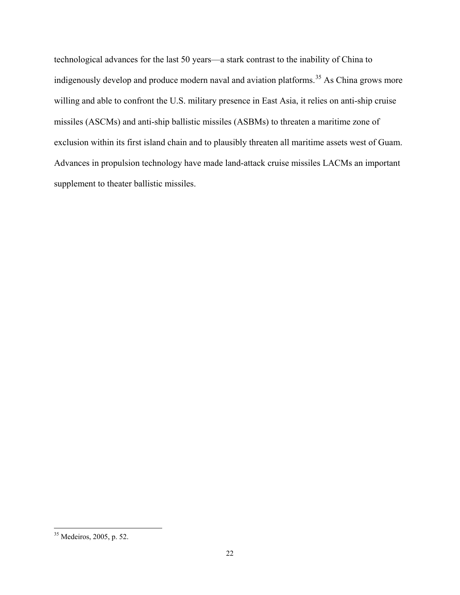technological advances for the last 50 years—a stark contrast to the inability of China to indigenously develop and produce modern naval and aviation platforms.<sup>[35](#page-24-0)</sup> As China grows more willing and able to confront the U.S. military presence in East Asia, it relies on anti-ship cruise missiles (ASCMs) and anti-ship ballistic missiles (ASBMs) to threaten a maritime zone of exclusion within its first island chain and to plausibly threaten all maritime assets west of Guam. Advances in propulsion technology have made land-attack cruise missiles LACMs an important supplement to theater ballistic missiles.

<span id="page-24-0"></span> <sup>35</sup> Medeiros, 2005, p. 52.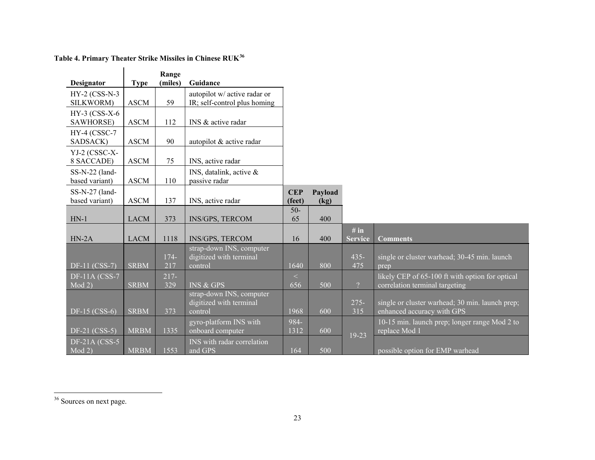<span id="page-25-1"></span><span id="page-25-0"></span>

| <b>Designator</b>                  | <b>Type</b> | Range<br>(miles) | Guidance                           |                      |         |                |                                                                               |
|------------------------------------|-------------|------------------|------------------------------------|----------------------|---------|----------------|-------------------------------------------------------------------------------|
| HY-2 (CSS-N-3                      |             |                  | autopilot w/ active radar or       |                      |         |                |                                                                               |
| SILKWORM)                          | <b>ASCM</b> | 59               | IR; self-control plus homing       |                      |         |                |                                                                               |
| $HY-3$ (CSS-X-6                    |             |                  |                                    |                      |         |                |                                                                               |
| SAWHORSE)                          | <b>ASCM</b> | 112              | INS & active radar                 |                      |         |                |                                                                               |
| HY-4 (CSSC-7<br>SADSACK)           | <b>ASCM</b> | 90               | autopilot & active radar           |                      |         |                |                                                                               |
| YJ-2 (CSSC-X-                      |             |                  |                                    |                      |         |                |                                                                               |
| 8 SACCADE)                         | <b>ASCM</b> | 75               | INS, active radar                  |                      |         |                |                                                                               |
| $SS-N-22$ (land-                   |             |                  | INS, datalink, active $\&$         |                      |         |                |                                                                               |
| based variant)                     | <b>ASCM</b> | 110              | passive radar                      |                      |         |                |                                                                               |
| $SS-N-27$ (land-<br>based variant) | <b>ASCM</b> | 137              | INS, active radar                  | <b>CEP</b><br>(feet) | Payload |                |                                                                               |
|                                    |             |                  |                                    | $50-$                | (kg)    |                |                                                                               |
| $HN-1$                             | <b>LACM</b> | 373              | INS/GPS, TERCOM                    | 65                   | 400     |                |                                                                               |
|                                    |             |                  |                                    |                      |         | # in           |                                                                               |
| $HN-2A$                            | <b>LACM</b> | 1118             | <b>INS/GPS, TERCOM</b>             | 16                   | 400     | <b>Service</b> | <b>Comments</b>                                                               |
|                                    |             |                  | strap-down INS, computer           |                      |         |                |                                                                               |
| DF-11 (CSS-7)                      | <b>SRBM</b> | $174-$<br>217    | digitized with terminal<br>control | 1640                 | 800     | $435 -$<br>475 | single or cluster warhead; 30-45 min. launch<br>prep                          |
| <b>DF-11A (CSS-7</b>               |             | $217-$           |                                    | $\lt$                |         |                | likely CEP of 65-100 ft with option for optical                               |
| Mod 2)                             | <b>SRBM</b> | 329              | <b>INS &amp; GPS</b>               | 656                  | 500     | $\overline{?}$ | correlation terminal targeting                                                |
|                                    |             |                  | strap-down INS, computer           |                      |         |                |                                                                               |
| DF-15 (CSS-6)                      | <b>SRBM</b> | 373              | digitized with terminal<br>control | 1968                 | 600     | $275 -$<br>315 | single or cluster warhead; 30 min. launch prep;<br>enhanced accuracy with GPS |
|                                    |             |                  | gyro-platform INS with             | 984-                 |         |                | 10-15 min. launch prep; longer range Mod 2 to                                 |
| DF-21 (CSS-5)                      | <b>MRBM</b> | 1335             | onboard computer                   | 1312                 | 600     | 19-23          | replace Mod 1                                                                 |
| <b>DF-21A (CSS-5</b>               |             |                  | <b>INS</b> with radar correlation  |                      |         |                |                                                                               |
| $Mod\overline{2}$                  | <b>MRBM</b> | 1553             | and GPS                            | 164                  | 500     |                | possible option for EMP warhead                                               |

**Table 4. Primary Theater Strike Missiles in Chinese RUK[36](#page-25-1)**

<sup>36</sup> Sources on next page.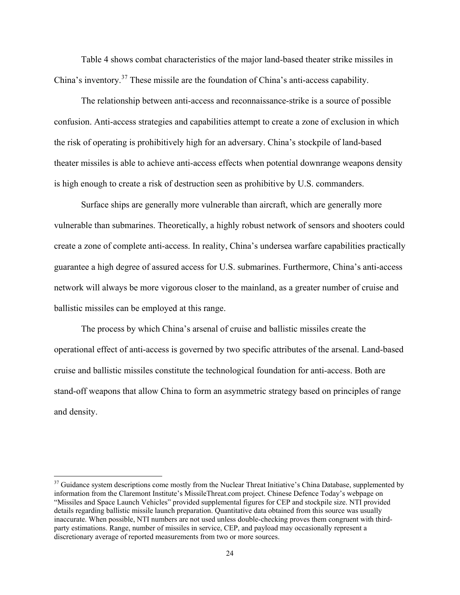Table 4 shows combat characteristics of the major land-based theater strike missiles in China's inventory.<sup>[37](#page-26-0)</sup> These missile are the foundation of China's anti-access capability.

The relationship between anti-access and reconnaissance-strike is a source of possible confusion. Anti-access strategies and capabilities attempt to create a zone of exclusion in which the risk of operating is prohibitively high for an adversary. China's stockpile of land-based theater missiles is able to achieve anti-access effects when potential downrange weapons density is high enough to create a risk of destruction seen as prohibitive by U.S. commanders.

Surface ships are generally more vulnerable than aircraft, which are generally more vulnerable than submarines. Theoretically, a highly robust network of sensors and shooters could create a zone of complete anti-access. In reality, China's undersea warfare capabilities practically guarantee a high degree of assured access for U.S. submarines. Furthermore, China's anti-access network will always be more vigorous closer to the mainland, as a greater number of cruise and ballistic missiles can be employed at this range.

The process by which China's arsenal of cruise and ballistic missiles create the operational effect of anti-access is governed by two specific attributes of the arsenal. Land-based cruise and ballistic missiles constitute the technological foundation for anti-access. Both are stand-off weapons that allow China to form an asymmetric strategy based on principles of range and density.

<span id="page-26-0"></span><sup>&</sup>lt;sup>37</sup> Guidance system descriptions come mostly from the Nuclear Threat Initiative's China Database, supplemented by information from the Claremont Institute's MissileThreat.com project. Chinese Defence Today's webpage on "Missiles and Space Launch Vehicles" provided supplemental figures for CEP and stockpile size. NTI provided details regarding ballistic missile launch preparation. Quantitative data obtained from this source was usually inaccurate. When possible, NTI numbers are not used unless double-checking proves them congruent with thirdparty estimations. Range, number of missiles in service, CEP, and payload may occasionally represent a discretionary average of reported measurements from two or more sources.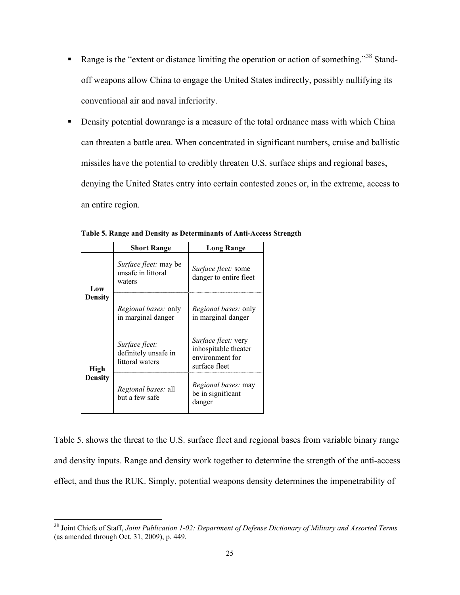- Range is the "extent or distance limiting the operation or action of something."<sup>[38](#page-27-1)</sup> Standoff weapons allow China to engage the United States indirectly, possibly nullifying its conventional air and naval inferiority.
- **•** Density potential downrange is a measure of the total ordnance mass with which China can threaten a battle area. When concentrated in significant numbers, cruise and ballistic missiles have the potential to credibly threaten U.S. surface ships and regional bases, denying the United States entry into certain contested zones or, in the extreme, access to an entire region.

|                | <b>Short Range</b>                                           | Long Range                                                                             |  |
|----------------|--------------------------------------------------------------|----------------------------------------------------------------------------------------|--|
| Low            | <i>Surface fleet:</i> may be<br>unsafe in littoral<br>waters | <i>Surface fleet:</i> some<br>danger to entire fleet                                   |  |
| <b>Density</b> | <i>Regional bases:</i> only<br>in marginal danger            | <i>Regional bases:</i> only<br>in marginal danger                                      |  |
| High           | Surface fleet:<br>definitely unsafe in<br>littoral waters    | <i>Surface fleet:</i> very<br>inhospitable theater<br>environment for<br>surface fleet |  |
| <b>Density</b> | <i>Regional bases: all</i><br>but a few safe                 | <i>Regional bases:</i> may<br>be in significant<br>danger                              |  |

<span id="page-27-0"></span>**Table 5. Range and Density as Determinants of Anti-Access Strength**

Table 5. shows the threat to the U.S. surface fleet and regional bases from variable binary range and density inputs. Range and density work together to determine the strength of the anti-access effect, and thus the RUK. Simply, potential weapons density determines the impenetrability of

<span id="page-27-1"></span> <sup>38</sup> Joint Chiefs of Staff, *Joint Publication 1-02: Department of Defense Dictionary of Military and Assorted Terms* (as amended through Oct. 31, 2009), p. 449.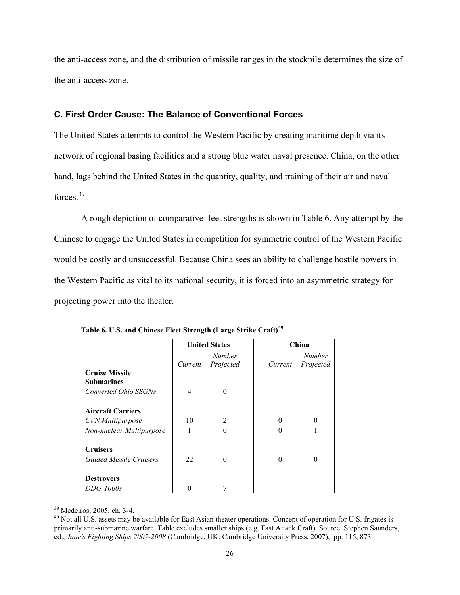the anti-access zone, and the distribution of missile ranges in the stockpile determines the size of the anti-access zone.

### <span id="page-28-0"></span>**C. First Order Cause: The Balance of Conventional Forces**

The United States attempts to control the Western Pacific by creating maritime depth via its network of regional basing facilities and a strong blue water naval presence. China, on the other hand, lags behind the United States in the quantity, quality, and training of their air and naval forces.<sup>[39](#page-28-2)</sup>

A rough depiction of comparative fleet strengths is shown in Table 6. Any attempt by the Chinese to engage the United States in competition for symmetric control of the Western Pacific would be costly and unsuccessful. Because China sees an ability to challenge hostile powers in the Western Pacific as vital to its national security, it is forced into an asymmetric strategy for projecting power into the theater.

|                                            |         | <b>United States</b>       | China   |                            |  |
|--------------------------------------------|---------|----------------------------|---------|----------------------------|--|
| <b>Cruise Missile</b><br><b>Submarines</b> | Current | <b>Number</b><br>Projected | Current | <b>Number</b><br>Projected |  |
| Converted Ohio SSGNs                       | 4       | $\theta$                   |         |                            |  |
| <b>Aircraft Carriers</b>                   |         |                            |         |                            |  |
| <b>CVN</b> Multipurpose                    | 10      | $\overline{2}$             | 0       |                            |  |
| Non-nuclear Multipurpose                   |         | $\Omega$                   |         |                            |  |
| <b>Cruisers</b>                            |         |                            |         |                            |  |
| Guided Missile Cruisers                    | 22      | $\Omega$                   | 0       |                            |  |
| <b>Destroyers</b>                          |         |                            |         |                            |  |
| $DDG-1000s$                                |         |                            |         |                            |  |

<span id="page-28-1"></span>**Table 6. U.S. and Chinese Fleet Strength (Large Strike Craft)[40](#page-28-3)**

<span id="page-28-3"></span><span id="page-28-2"></span> $39$  Medeiros, 2005, ch. 3-4.<br> $40$  Not all U.S. assets may be available for East Asian theater operations. Concept of operation for U.S. frigates is primarily anti-submarine warfare. Table excludes smaller ships (e.g. Fast Attack Craft). Source: Stephen Saunders, ed., *Jane's Fighting Ships 2007-2008* (Cambridge, UK: Cambridge University Press, 2007), pp. 115, 873.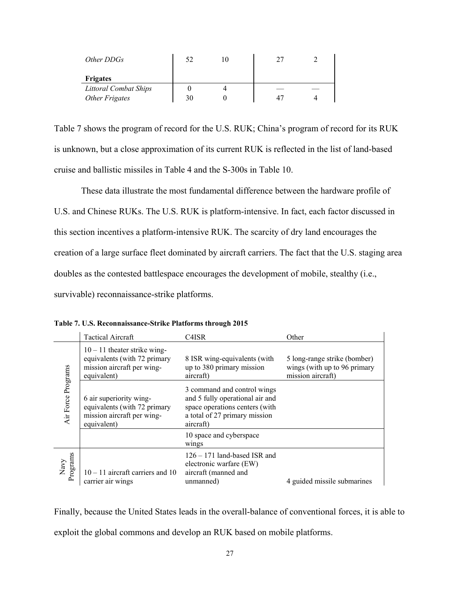| Other DDGs                   |    |  |  |
|------------------------------|----|--|--|
| <b>Frigates</b>              |    |  |  |
| <b>Littoral Combat Ships</b> |    |  |  |
| Other Frigates               | 30 |  |  |

Table 7 shows the program of record for the U.S. RUK; China's program of record for its RUK is unknown, but a close approximation of its current RUK is reflected in the list of land-based cruise and ballistic missiles in Table 4 and the S-300s in Table 10.

These data illustrate the most fundamental difference between the hardware profile of U.S. and Chinese RUKs. The U.S. RUK is platform-intensive. In fact, each factor discussed in this section incentives a platform-intensive RUK. The scarcity of dry land encourages the creation of a large surface fleet dominated by aircraft carriers. The fact that the U.S. staging area doubles as the contested battlespace encourages the development of mobile, stealthy (i.e., survivable) reconnaissance-strike platforms.

|                    | <b>Tactical Aircraft</b>                                                                                    | C4ISR                                                                                                                                          | Other                                                                             |
|--------------------|-------------------------------------------------------------------------------------------------------------|------------------------------------------------------------------------------------------------------------------------------------------------|-----------------------------------------------------------------------------------|
| Air Force Programs | $10 - 11$ theater strike wing-<br>equivalents (with 72 primary<br>mission aircraft per wing-<br>equivalent) | 8 ISR wing-equivalents (with<br>up to 380 primary mission<br>aircraft)                                                                         | 5 long-range strike (bomber)<br>wings (with up to 96 primary<br>mission aircraft) |
|                    | 6 air superiority wing-<br>equivalents (with 72 primary<br>mission aircraft per wing-<br>equivalent)        | 3 command and control wings<br>and 5 fully operational air and<br>space operations centers (with<br>a total of 27 primary mission<br>aircraft) |                                                                                   |
|                    |                                                                                                             | 10 space and cyberspace<br>wings                                                                                                               |                                                                                   |
| Navy<br>Programs   | $10 - 11$ aircraft carriers and 10<br>carrier air wings                                                     | $126 - 171$ land-based ISR and<br>electronic warfare (EW)<br>aircraft (manned and<br>unmanned)                                                 | 4 guided missile submarines                                                       |

<span id="page-29-0"></span>**Table 7. U.S. Reconnaissance-Strike Platforms through 2015**

Finally, because the United States leads in the overall-balance of conventional forces, it is able to exploit the global commons and develop an RUK based on mobile platforms.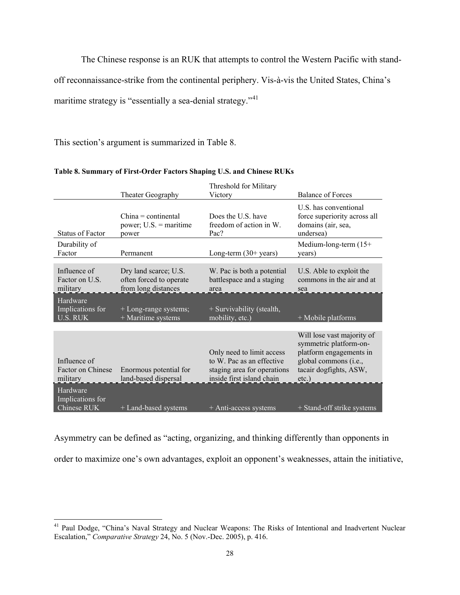The Chinese response is an RUK that attempts to control the Western Pacific with stand-

off reconnaissance-strike from the continental periphery. Vis-à-vis the United States, China's

maritime strategy is "essentially a sea-denial strategy."<sup>[41](#page-30-1)</sup>

This section's argument is summarized in Table 8.

|                                                 | Theater Geography                                                       | Threshold for Military<br>Victory                                                                                  | <b>Balance of Forces</b>                                                                                                                       |
|-------------------------------------------------|-------------------------------------------------------------------------|--------------------------------------------------------------------------------------------------------------------|------------------------------------------------------------------------------------------------------------------------------------------------|
| Status of Factor                                | $China = continental$<br>power; $U.S.$ = maritime<br>power              | Does the U.S. have<br>freedom of action in W.<br>Pac?                                                              | U.S. has conventional<br>force superiority across all<br>domains (air, sea,<br>undersea)                                                       |
| Durability of<br>Factor                         | Permanent                                                               | Long-term $(30+)$ years)                                                                                           | Medium-long-term $(15+)$<br>years)                                                                                                             |
| Influence of<br>Factor on U.S.<br>military      | Dry land scarce; U.S.<br>often forced to operate<br>from long distances | W. Pac is both a potential<br>battlespace and a staging<br>area                                                    | U.S. Able to exploit the<br>commons in the air and at<br>sea                                                                                   |
| Hardware<br>Implications for<br><b>U.S. RUK</b> | + Long-range systems;<br>+ Maritime systems                             | + Survivability (stealth,<br>mobility, etc.)                                                                       | + Mobile platforms                                                                                                                             |
| Influence of<br>Factor on Chinese<br>military   | Enormous potential for<br>land-based dispersal                          | Only need to limit access<br>to W. Pac as an effective<br>staging area for operations<br>inside first island chain | Will lose vast majority of<br>symmetric platform-on-<br>platform engagements in<br>global commons (i.e.,<br>tacair dogfights, ASW,<br>$etc.$ ) |
| Hardware<br>Implications for<br>Chinese RUK     | + Land-based systems                                                    | + Anti-access systems                                                                                              | + Stand-off strike systems                                                                                                                     |

#### <span id="page-30-0"></span>**Table 8. Summary of First-Order Factors Shaping U.S. and Chinese RUKs**

Asymmetry can be defined as "acting, organizing, and thinking differently than opponents in order to maximize one's own advantages, exploit an opponent's weaknesses, attain the initiative,

<span id="page-30-1"></span> <sup>41</sup> Paul Dodge, "China's Naval Strategy and Nuclear Weapons: The Risks of Intentional and Inadvertent Nuclear Escalation," *Comparative Strategy* 24, No. 5 (Nov.-Dec. 2005), p. 416.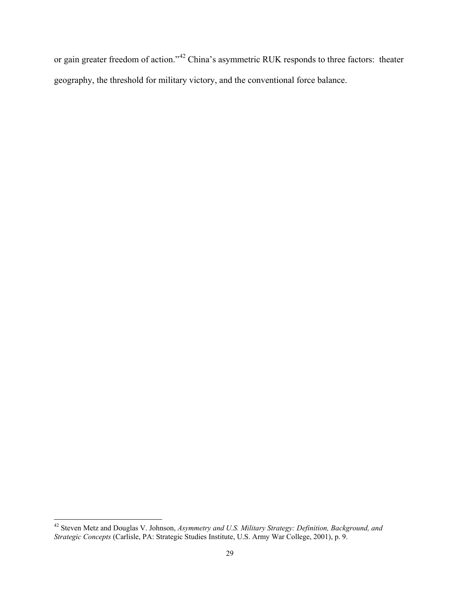or gain greater freedom of action."<sup>[42](#page-31-0)</sup> China's asymmetric RUK responds to three factors: theater geography, the threshold for military victory, and the conventional force balance.

<span id="page-31-0"></span> <sup>42</sup> Steven Metz and Douglas V. Johnson, *Asymmetry and U.S. Military Strategy: Definition, Background, and Strategic Concepts* (Carlisle, PA: Strategic Studies Institute, U.S. Army War College, 2001), p. 9.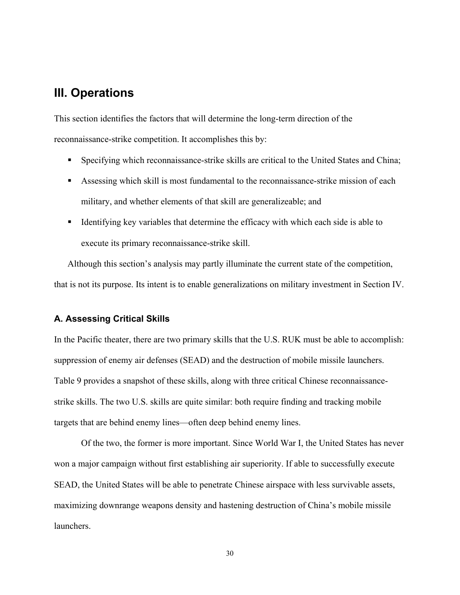# <span id="page-32-0"></span>**III. Operations**

This section identifies the factors that will determine the long-term direction of the reconnaissance-strike competition. It accomplishes this by:

- Specifying which reconnaissance-strike skills are critical to the United States and China;
- Assessing which skill is most fundamental to the reconnaissance-strike mission of each military, and whether elements of that skill are generalizeable; and
- Identifying key variables that determine the efficacy with which each side is able to execute its primary reconnaissance-strike skill.

Although this section's analysis may partly illuminate the current state of the competition, that is not its purpose. Its intent is to enable generalizations on military investment in Section IV.

### <span id="page-32-1"></span>**A. Assessing Critical Skills**

In the Pacific theater, there are two primary skills that the U.S. RUK must be able to accomplish: suppression of enemy air defenses (SEAD) and the destruction of mobile missile launchers. Table 9 provides a snapshot of these skills, along with three critical Chinese reconnaissancestrike skills. The two U.S. skills are quite similar: both require finding and tracking mobile targets that are behind enemy lines—often deep behind enemy lines.

Of the two, the former is more important. Since World War I, the United States has never won a major campaign without first establishing air superiority. If able to successfully execute SEAD, the United States will be able to penetrate Chinese airspace with less survivable assets, maximizing downrange weapons density and hastening destruction of China's mobile missile launchers.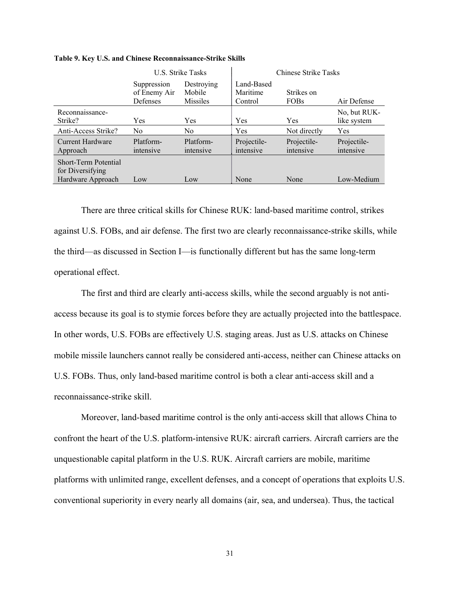|                                                                      | U.S. Strike Tasks                       |                                         | Chinese Strike Tasks              |                           |                             |
|----------------------------------------------------------------------|-----------------------------------------|-----------------------------------------|-----------------------------------|---------------------------|-----------------------------|
|                                                                      | Suppression<br>of Enemy Air<br>Defenses | Destroving<br>Mobile<br><b>Missiles</b> | Land-Based<br>Maritime<br>Control | Strikes on<br><b>FOBs</b> | Air Defense                 |
| Reconnaissance-<br>Strike?                                           | Yes                                     | Yes                                     | Yes                               | Yes                       | No, but RUK-<br>like system |
| Anti-Access Strike?                                                  | No.                                     | No                                      | Yes                               | Not directly              | Yes                         |
| Current Hardware<br>Approach                                         | Platform-<br>intensive                  | Platform-<br>intensive                  | Projectile-<br>intensive          | Projectile-<br>intensive  | Projectile-<br>intensive    |
| <b>Short-Term Potential</b><br>for Diversifying<br>Hardware Approach | Low                                     | Low                                     | None                              | None                      | Low-Medium                  |

#### <span id="page-33-0"></span>**Table 9. Key U.S. and Chinese Reconnaissance-Strike Skills**

There are three critical skills for Chinese RUK: land-based maritime control, strikes against U.S. FOBs, and air defense. The first two are clearly reconnaissance-strike skills, while the third—as discussed in Section I—is functionally different but has the same long-term operational effect.

The first and third are clearly anti-access skills, while the second arguably is not antiaccess because its goal is to stymie forces before they are actually projected into the battlespace. In other words, U.S. FOBs are effectively U.S. staging areas. Just as U.S. attacks on Chinese mobile missile launchers cannot really be considered anti-access, neither can Chinese attacks on U.S. FOBs. Thus, only land-based maritime control is both a clear anti-access skill and a reconnaissance-strike skill.

Moreover, land-based maritime control is the only anti-access skill that allows China to confront the heart of the U.S. platform-intensive RUK: aircraft carriers. Aircraft carriers are the unquestionable capital platform in the U.S. RUK. Aircraft carriers are mobile, maritime platforms with unlimited range, excellent defenses, and a concept of operations that exploits U.S. conventional superiority in every nearly all domains (air, sea, and undersea). Thus, the tactical

31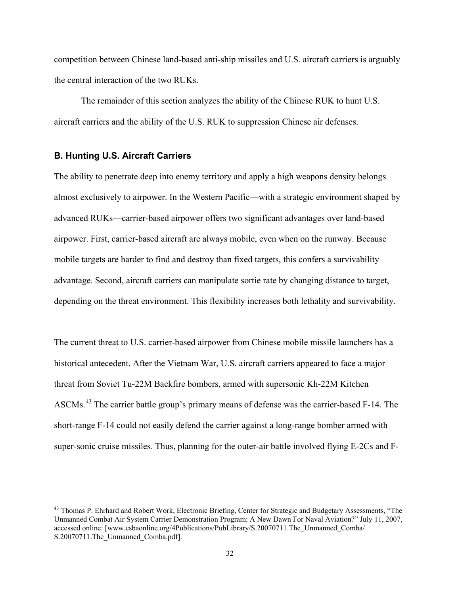competition between Chinese land-based anti-ship missiles and U.S. aircraft carriers is arguably the central interaction of the two RUKs.

The remainder of this section analyzes the ability of the Chinese RUK to hunt U.S. aircraft carriers and the ability of the U.S. RUK to suppression Chinese air defenses.

### <span id="page-34-0"></span>**B. Hunting U.S. Aircraft Carriers**

The ability to penetrate deep into enemy territory and apply a high weapons density belongs almost exclusively to airpower. In the Western Pacific—with a strategic environment shaped by advanced RUKs—carrier-based airpower offers two significant advantages over land-based airpower. First, carrier-based aircraft are always mobile, even when on the runway. Because mobile targets are harder to find and destroy than fixed targets, this confers a survivability advantage. Second, aircraft carriers can manipulate sortie rate by changing distance to target, depending on the threat environment. This flexibility increases both lethality and survivability.

The current threat to U.S. carrier-based airpower from Chinese mobile missile launchers has a historical antecedent. After the Vietnam War, U.S. aircraft carriers appeared to face a major threat from Soviet Tu-22M Backfire bombers, armed with supersonic Kh-22M Kitchen ASCMs.<sup>[43](#page-34-1)</sup> The carrier battle group's primary means of defense was the carrier-based F-14. The short-range F-14 could not easily defend the carrier against a long-range bomber armed with super-sonic cruise missiles. Thus, planning for the outer-air battle involved flying E-2Cs and F-

<span id="page-34-1"></span><sup>&</sup>lt;sup>43</sup> Thomas P. Ehrhard and Robert Work, Electronic Briefing, Center for Strategic and Budgetary Assessments, "The Unmanned Combat Air System Carrier Demonstration Program: A New Dawn For Naval Aviation?" July 11, 2007, accessed online: [www.csbaonline.org/4Publications/PubLibrary/S.20070711.The Unmanned Comba/ S.20070711.The\_Unmanned\_Comba.pdf].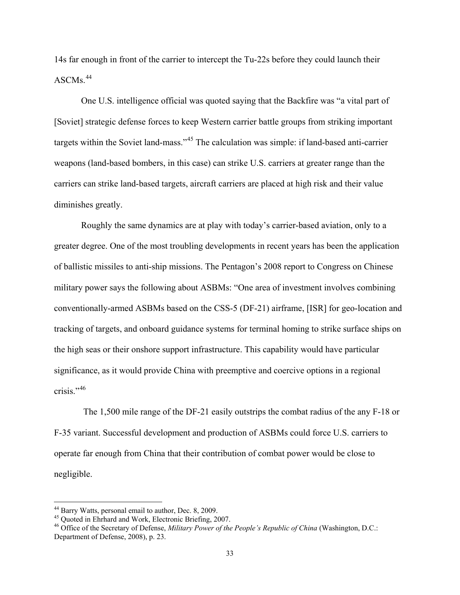14s far enough in front of the carrier to intercept the Tu-22s before they could launch their  $\overline{ASCMS}$ .<sup>[44](#page-35-0)</sup>

One U.S. intelligence official was quoted saying that the Backfire was "a vital part of [Soviet] strategic defense forces to keep Western carrier battle groups from striking important targets within the Soviet land-mass."<sup>[45](#page-35-1)</sup> The calculation was simple: if land-based anti-carrier weapons (land-based bombers, in this case) can strike U.S. carriers at greater range than the carriers can strike land-based targets, aircraft carriers are placed at high risk and their value diminishes greatly.

Roughly the same dynamics are at play with today's carrier-based aviation, only to a greater degree. One of the most troubling developments in recent years has been the application of ballistic missiles to anti-ship missions. The Pentagon's 2008 report to Congress on Chinese military power says the following about ASBMs: "One area of investment involves combining conventionally-armed ASBMs based on the CSS-5 (DF-21) airframe, [ISR] for geo-location and tracking of targets, and onboard guidance systems for terminal homing to strike surface ships on the high seas or their onshore support infrastructure. This capability would have particular significance, as it would provide China with preemptive and coercive options in a regional crisis."<sup>[46](#page-35-2)</sup>

The 1,500 mile range of the DF-21 easily outstrips the combat radius of the any F-18 or F-35 variant. Successful development and production of ASBMs could force U.S. carriers to operate far enough from China that their contribution of combat power would be close to negligible.

<span id="page-35-2"></span><span id="page-35-1"></span>

<span id="page-35-0"></span><sup>&</sup>lt;sup>44</sup> Barry Watts, personal email to author, Dec. 8, 2009.<br><sup>45</sup> Quoted in Ehrhard and Work, Electronic Briefing, 2007.<br><sup>46</sup> Office of the Secretary of Defense, *Military Power of the People's Republic of China* (Washington, Department of Defense, 2008), p. 23.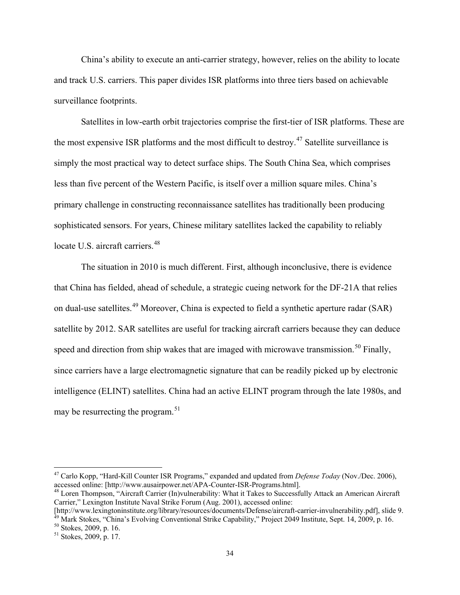China's ability to execute an anti-carrier strategy, however, relies on the ability to locate and track U.S. carriers. This paper divides ISR platforms into three tiers based on achievable surveillance footprints.

Satellites in low-earth orbit trajectories comprise the first-tier of ISR platforms. These are the most expensive ISR platforms and the most difficult to destroy.<sup>[47](#page-36-0)</sup> Satellite surveillance is simply the most practical way to detect surface ships. The South China Sea, which comprises less than five percent of the Western Pacific, is itself over a million square miles. China's primary challenge in constructing reconnaissance satellites has traditionally been producing sophisticated sensors. For years, Chinese military satellites lacked the capability to reliably locate U.S. aircraft carriers.<sup>[48](#page-36-1)</sup>

The situation in 2010 is much different. First, although inconclusive, there is evidence that China has fielded, ahead of schedule, a strategic cueing network for the DF-21A that relies on dual-use satellites.[49](#page-36-2) Moreover, China is expected to field a synthetic aperture radar (SAR) satellite by 2012. SAR satellites are useful for tracking aircraft carriers because they can deduce speed and direction from ship wakes that are imaged with microwave transmission.<sup>[50](#page-36-3)</sup> Finally, since carriers have a large electromagnetic signature that can be readily picked up by electronic intelligence (ELINT) satellites. China had an active ELINT program through the late 1980s, and may be resurrecting the program.  $51$ 

<span id="page-36-0"></span><sup>&</sup>lt;sup>47</sup> Carlo Kopp, "Hard-Kill Counter ISR Programs," expanded and updated from *Defense Today* (Nov./Dec. 2006), accessed online: [http://www.ausairpower.net/APA-Counter-ISR-Programs.html].

<span id="page-36-1"></span><sup>&</sup>lt;sup>48</sup> Loren Thompson, "Aircraft Carrier (In)vulnerability: What it Takes to Successfully Attack an American Aircraft Carrier," Lexington Institute Naval Strike Forum (Aug. 2001), accessed online:

<span id="page-36-2"></span><sup>[</sup>http://www.lexingtoninstitute.org/library/resources/documents/Defense/aircraft-carrier-invulnerability.pdf], slide 9.<br><sup>49</sup> Mark Stokes, "China's Evolving Conventional Strike Capability," Project 2049 Institute, Sept. 14,

<span id="page-36-3"></span>

<span id="page-36-4"></span>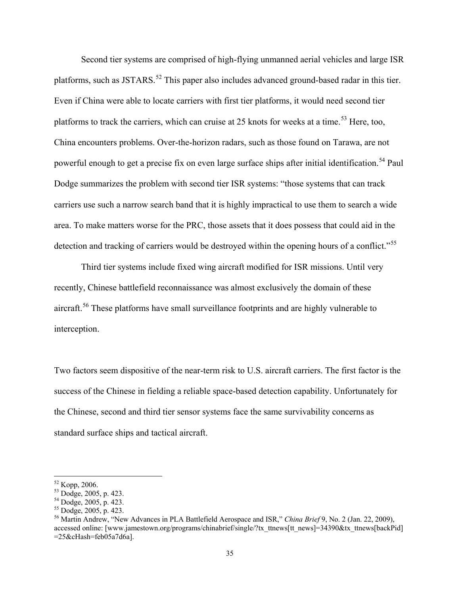Second tier systems are comprised of high-flying unmanned aerial vehicles and large ISR platforms, such as JSTARS.<sup>[52](#page-37-0)</sup> This paper also includes advanced ground-based radar in this tier. Even if China were able to locate carriers with first tier platforms, it would need second tier platforms to track the carriers, which can cruise at 25 knots for weeks at a time.<sup>[53](#page-37-1)</sup> Here, too, China encounters problems. Over-the-horizon radars, such as those found on Tarawa, are not powerful enough to get a precise fix on even large surface ships after initial identification.<sup>[54](#page-37-2)</sup> Paul Dodge summarizes the problem with second tier ISR systems: "those systems that can track carriers use such a narrow search band that it is highly impractical to use them to search a wide area. To make matters worse for the PRC, those assets that it does possess that could aid in the detection and tracking of carriers would be destroyed within the opening hours of a conflict."<sup>[55](#page-37-3)</sup>

Third tier systems include fixed wing aircraft modified for ISR missions. Until very recently, Chinese battlefield reconnaissance was almost exclusively the domain of these aircraft.<sup>[56](#page-37-4)</sup> These platforms have small surveillance footprints and are highly vulnerable to interception.

Two factors seem dispositive of the near-term risk to U.S. aircraft carriers. The first factor is the success of the Chinese in fielding a reliable space-based detection capability. Unfortunately for the Chinese, second and third tier sensor systems face the same survivability concerns as standard surface ships and tactical aircraft.

<span id="page-37-2"></span>

<span id="page-37-4"></span><span id="page-37-3"></span>

<span id="page-37-1"></span><span id="page-37-0"></span><sup>&</sup>lt;sup>52</sup> Kopp, 2006.<br><sup>53</sup> Dodge, 2005, p. 423.<br><sup>54</sup> Dodge, 2005, p. 423.<br><sup>55</sup> Dodge, 2005, p. 423.<br><sup>56</sup> Martin Andrew, "New Advances in PLA Battlefield Aerospace and ISR," *China Brief* 9, No. 2 (Jan. 22, 2009), accessed online: [www.jamestown.org/programs/chinabrief/single/?tx\_ttnews[tt\_news]=34390&tx\_ttnews[backPid] =25&cHash=feb05a7d6a].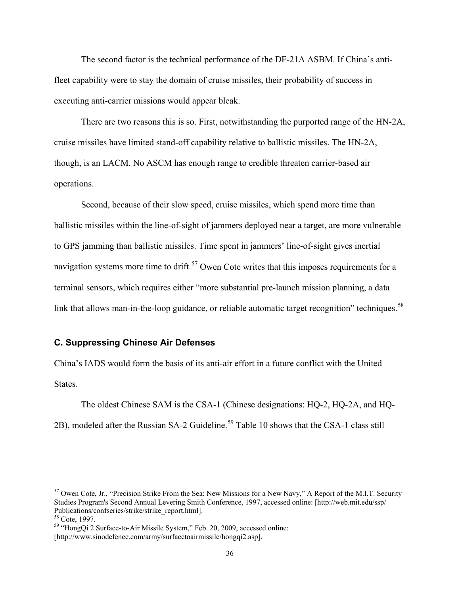The second factor is the technical performance of the DF-21A ASBM. If China's antifleet capability were to stay the domain of cruise missiles, their probability of success in executing anti-carrier missions would appear bleak.

There are two reasons this is so. First, notwithstanding the purported range of the HN-2A, cruise missiles have limited stand-off capability relative to ballistic missiles. The HN-2A, though, is an LACM. No ASCM has enough range to credible threaten carrier-based air operations.

Second, because of their slow speed, cruise missiles, which spend more time than ballistic missiles within the line-of-sight of jammers deployed near a target, are more vulnerable to GPS jamming than ballistic missiles. Time spent in jammers' line-of-sight gives inertial navigation systems more time to drift.<sup>[57](#page-38-1)</sup> Owen Cote writes that this imposes requirements for a terminal sensors, which requires either "more substantial pre-launch mission planning, a data link that allows man-in-the-loop guidance, or reliable automatic target recognition" techniques.<sup>[58](#page-38-2)</sup>

### <span id="page-38-0"></span>**C. Suppressing Chinese Air Defenses**

China's IADS would form the basis of its anti-air effort in a future conflict with the United States.

The oldest Chinese SAM is the CSA-1 (Chinese designations: HQ-2, HQ-2A, and HQ-2B), modeled after the Russian SA-2 Guideline.<sup>[59](#page-38-3)</sup> Table 10 shows that the CSA-1 class still

<span id="page-38-1"></span><sup>&</sup>lt;sup>57</sup> Owen Cote, Jr., "Precision Strike From the Sea: New Missions for a New Navy," A Report of the M.I.T. Security Studies Program's Second Annual Levering Smith Conference, 1997, accessed online: [http://web.mit.edu/ssp/ Publications/confseries/strike/strike\_report.html].<br><sup>58</sup> Cote, 1997.

<span id="page-38-2"></span>

<span id="page-38-3"></span><sup>&</sup>lt;sup>59</sup> "HongQi 2 Surface-to-Air Missile System," Feb. 20, 2009, accessed online:

<sup>[</sup>http://www.sinodefence.com/army/surfacetoairmissile/hongqi2.asp].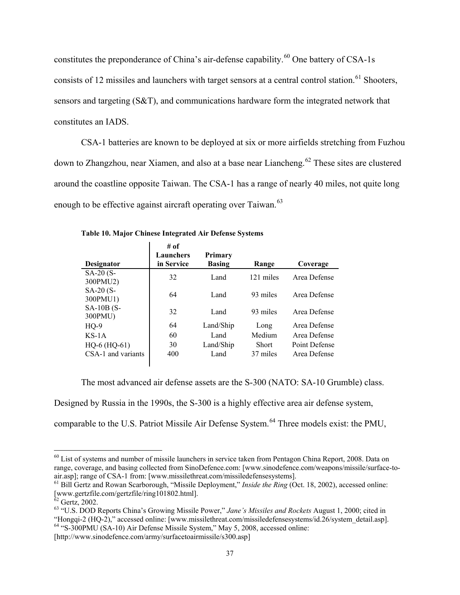constitutes the preponderance of China's air-defense capability.<sup>[60](#page-39-1)</sup> One battery of CSA-1s consists of 12 missiles and launchers with target sensors at a central control station.<sup>[61](#page-39-2)</sup> Shooters, sensors and targeting (S&T), and communications hardware form the integrated network that constitutes an IADS.

CSA-1 batteries are known to be deployed at six or more airfields stretching from Fuzhou down to Zhangzhou, near Xiamen, and also at a base near Liancheng. [62](#page-39-3) These sites are clustered around the coastline opposite Taiwan. The CSA-1 has a range of nearly 40 miles, not quite long enough to be effective against aircraft operating over Taiwan.<sup>[63](#page-39-4)</sup>

| <b>Designator</b>      | # of<br>Launchers<br>in Service | Primary<br><b>Basing</b> | Range        | Coverage      |
|------------------------|---------------------------------|--------------------------|--------------|---------------|
| $SA-20(S-$<br>300PMU2) | 32                              | Land                     | 121 miles    | Area Defense  |
| $SA-20(S-$<br>300PMU1) | 64                              | Land                     | 93 miles     | Area Defense  |
| $SA-10B(S-$<br>300PMU) | 32                              | Land                     | 93 miles     | Area Defense  |
| $HQ-9$                 | 64                              | Land/Ship                | Long         | Area Defense  |
| $KS-1A$                | 60                              | Land                     | Medium       | Area Defense  |
| $HQ-6$ ( $HQ-61$ )     | 30                              | Land/Ship                | <b>Short</b> | Point Defense |
| CSA-1 and variants     | 400                             | Land                     | 37 miles     | Area Defense  |

<span id="page-39-0"></span>**Table 10. Major Chinese Integrated Air Defense Systems**

The most advanced air defense assets are the S-300 (NATO: SA-10 Grumble) class.

Designed by Russia in the 1990s, the S-300 is a highly effective area air defense system,

comparable to the U.S. Patriot Missile Air Defense System.<sup>[64](#page-39-5)</sup> Three models exist: the PMU,

<span id="page-39-5"></span>[http://www.sinodefence.com/army/surfacetoairmissile/s300.asp]

<span id="page-39-1"></span><sup>&</sup>lt;sup>60</sup> List of systems and number of missile launchers in service taken from Pentagon China Report, 2008. Data on range, coverage, and basing collected from SinoDefence.com: [www.sinodefence.com/weapons/missile/surface-toair.asp]; range of CSA-1 from: [www.missilethreat.com/missiledefensesystems].

<span id="page-39-2"></span><sup>61</sup> Bill Gertz and Rowan Scarborough, "Missile Deployment," *Inside the Ring* (Oct. 18, 2002), accessed online: [www.gertzfile.com/gertzfile/ring101802.html].<br><sup>62</sup> Gertz, 2002.

<span id="page-39-4"></span><span id="page-39-3"></span><sup>&</sup>lt;sup>63</sup> "U.S. DOD Reports China's Growing Missile Power," *Jane's Missiles and Rockets* August 1, 2000; cited in "Hongqi-2 (HQ-2)," accessed online: [www.missilethreat.com/missiledefensesystems/id.26/system\_detail.asp].  $^{64}$  "S-300PMU (SA-10) Air Defense Missile System," May 5, 2008, accessed online: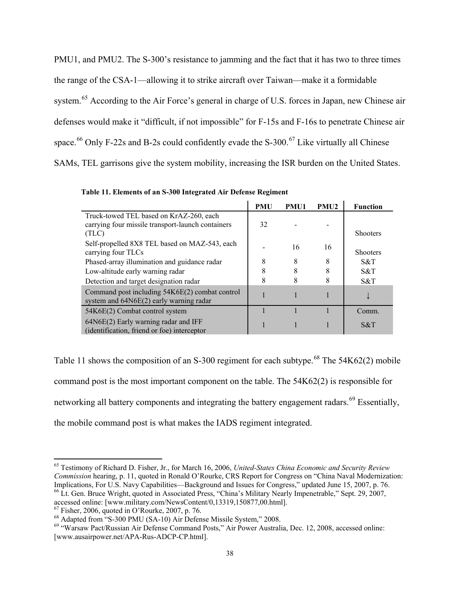PMU1, and PMU2. The S-300's resistance to jamming and the fact that it has two to three times the range of the CSA-1—allowing it to strike aircraft over Taiwan—make it a formidable system.<sup>[65](#page-40-1)</sup> According to the Air Force's general in charge of U.S. forces in Japan, new Chinese air defenses would make it "difficult, if not impossible" for F-15s and F-16s to penetrate Chinese air space.<sup>[66](#page-40-2)</sup> Only F-22s and B-2s could confidently evade the S-300.<sup>[67](#page-40-3)</sup> Like virtually all Chinese SAMs, TEL garrisons give the system mobility, increasing the ISR burden on the United States.

|                                                                                                       | <b>PMU</b> | PMU1 | <b>PMU2</b> | <b>Function</b> |
|-------------------------------------------------------------------------------------------------------|------------|------|-------------|-----------------|
| Truck-towed TEL based on KrAZ-260, each<br>carrying four missile transport-launch containers<br>(TLC) | 32         |      |             | <b>Shooters</b> |
| Self-propelled 8X8 TEL based on MAZ-543, each<br>carrying four TLCs                                   |            | 16   | 16          | <b>Shooters</b> |
| Phased-array illumination and guidance radar                                                          | 8          | 8    | 8           | S&T             |
| Low-altitude early warning radar                                                                      | 8          | 8    |             | S&T             |
| Detection and target designation radar                                                                | 8          | 8    |             | S&T             |
| Command post including 54K6E(2) combat control<br>system and $64N6E(2)$ early warning radar           |            |      |             |                 |
| 54K6E(2) Combat control system                                                                        |            |      |             | Comm.           |
| $64N6E(2)$ Early warning radar and IFF<br>(identification, friend or foe) interceptor                 |            |      |             | S&T             |

<span id="page-40-0"></span>**Table 11. Elements of an S-300 Integrated Air Defense Regiment**

Table 11 shows the composition of an S-300 regiment for each subtype.<sup>[68](#page-40-4)</sup> The  $54K62(2)$  mobile command post is the most important component on the table. The 54K62(2) is responsible for networking all battery components and integrating the battery engagement radars.<sup>[69](#page-40-5)</sup> Essentially, the mobile command post is what makes the IADS regiment integrated.

<span id="page-40-1"></span> <sup>65</sup> Testimony of Richard D. Fisher, Jr., for March 16, 2006, *United-States China Economic and Security Review Commission* hearing, p. 11, quoted in Ronald O'Rourke, CRS Report for Congress on "China Naval Modernization: Implications, For U.S. Navy Capabilities—Background and Issues for Congress," updated June 15, 2007, p. 76.

<span id="page-40-2"></span><sup>&</sup>lt;sup>66</sup> Lt. Gen. Bruce Wright, quoted in Associated Press, "China's Military Nearly Impenetrable," Sept. 29, 2007, accessed online: [www.military.com/NewsContent/0,13319,150877,00.html].

<span id="page-40-5"></span>

<span id="page-40-4"></span><span id="page-40-3"></span><sup>&</sup>lt;sup>67</sup> Fisher, 2006, quoted in O'Rourke, 2007, p. 76.<br><sup>68</sup> Adapted from "S-300 PMU (SA-10) Air Defense Missile System," 2008.<br><sup>69</sup> "Warsaw Pact/Russian Air Defense Command Posts," Air Power Australia, Dec. 12, 2008, accesse [www.ausairpower.net/APA-Rus-ADCP-CP.html].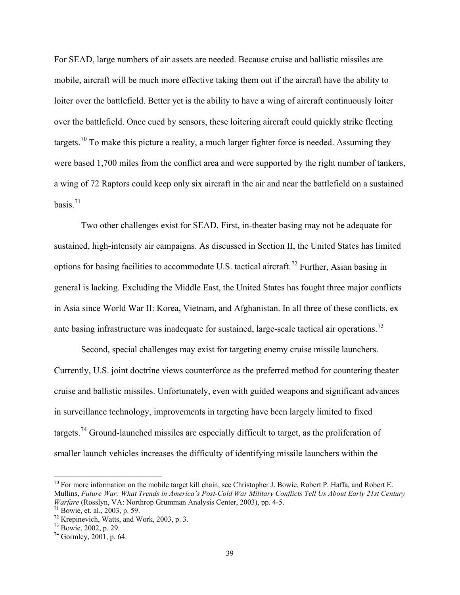For SEAD, large numbers of air assets are needed. Because cruise and ballistic missiles are mobile, aircraft will be much more effective taking them out if the aircraft have the ability to loiter over the battlefield. Better yet is the ability to have a wing of aircraft continuously loiter over the battlefield. Once cued by sensors, these loitering aircraft could quickly strike fleeting targets.<sup>[70](#page-41-0)</sup> To make this picture a reality, a much larger fighter force is needed. Assuming they were based 1,700 miles from the conflict area and were supported by the right number of tankers, a wing of 72 Raptors could keep only six aircraft in the air and near the battlefield on a sustained basis $^{71}$  $^{71}$  $^{71}$ 

Two other challenges exist for SEAD. First, in-theater basing may not be adequate for sustained, high-intensity air campaigns. As discussed in Section II, the United States has limited options for basing facilities to accommodate U.S. tactical aircraft.<sup>[72](#page-41-2)</sup> Further, Asian basing in general is lacking. Excluding the Middle East, the United States has fought three major conflicts in Asia since World War II: Korea, Vietnam, and Afghanistan. In all three of these conflicts, ex ante basing infrastructure was inadequate for sustained, large-scale tactical air operations.<sup>[73](#page-41-3)</sup>

Second, special challenges may exist for targeting enemy cruise missile launchers. Currently, U.S. joint doctrine views counterforce as the preferred method for countering theater cruise and ballistic missiles. Unfortunately, even with guided weapons and significant advances in surveillance technology, improvements in targeting have been largely limited to fixed targets.<sup>[74](#page-41-4)</sup> Ground-launched missiles are especially difficult to target, as the proliferation of smaller launch vehicles increases the difficulty of identifying missile launchers within the

<span id="page-41-0"></span> $70$  For more information on the mobile target kill chain, see Christopher J. Bowie, Robert P. Haffa, and Robert E. Mullins, *Future War: What Trends in America's Post-Cold War Military Conflicts Tell Us About Early 21st Century Warfare* (Rosslyn, VA: Northrop Grumman Analysis Center, 2003), pp. 4-5.<br><sup>71</sup> Bowie, et. al., 2003, p. 59.

<span id="page-41-3"></span><span id="page-41-2"></span><span id="page-41-1"></span><sup>&</sup>lt;sup>72</sup> Krepinevich, Watts, and Work, 2003, p. 3.<br><sup>73</sup> Bowie, 2002, p. 29. <sup>74</sup> Gormley, 2001, p. 64.

<span id="page-41-4"></span>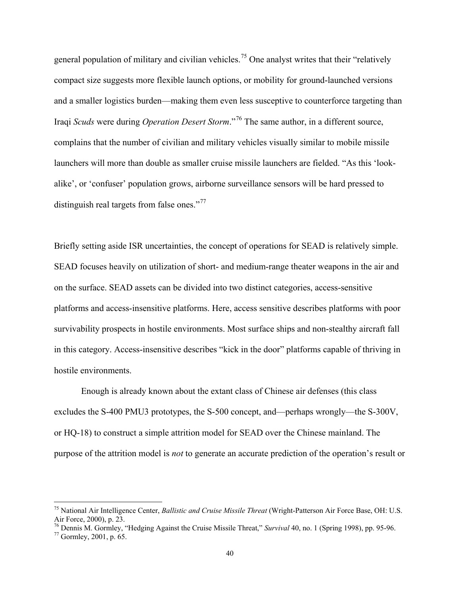general population of military and civilian vehicles.<sup>[75](#page-42-0)</sup> One analyst writes that their "relatively compact size suggests more flexible launch options, or mobility for ground-launched versions and a smaller logistics burden—making them even less susceptive to counterforce targeting than Iraqi *Scuds* were during *Operation Desert Storm*."[76](#page-42-1) The same author, in a different source, complains that the number of civilian and military vehicles visually similar to mobile missile launchers will more than double as smaller cruise missile launchers are fielded. "As this 'lookalike', or 'confuser' population grows, airborne surveillance sensors will be hard pressed to distinguish real targets from false ones."<sup>[77](#page-42-2)</sup>

Briefly setting aside ISR uncertainties, the concept of operations for SEAD is relatively simple. SEAD focuses heavily on utilization of short- and medium-range theater weapons in the air and on the surface. SEAD assets can be divided into two distinct categories, access-sensitive platforms and access-insensitive platforms. Here, access sensitive describes platforms with poor survivability prospects in hostile environments. Most surface ships and non-stealthy aircraft fall in this category. Access-insensitive describes "kick in the door" platforms capable of thriving in hostile environments.

Enough is already known about the extant class of Chinese air defenses (this class excludes the S-400 PMU3 prototypes, the S-500 concept, and—perhaps wrongly—the S-300V, or HQ-18) to construct a simple attrition model for SEAD over the Chinese mainland. The purpose of the attrition model is *not* to generate an accurate prediction of the operation's result or

<span id="page-42-0"></span> <sup>75</sup> National Air Intelligence Center, *Ballistic and Cruise Missile Threat* (Wright-Patterson Air Force Base, OH: U.S. Air Force, 2000), p. 23.

<span id="page-42-2"></span><span id="page-42-1"></span><sup>&</sup>lt;sup>76</sup> Dennis M. Gormley, "Hedging Against the Cruise Missile Threat," *Survival* 40, no. 1 (Spring 1998), pp. 95-96.<br><sup>77</sup> Gormley, 2001, p. 65.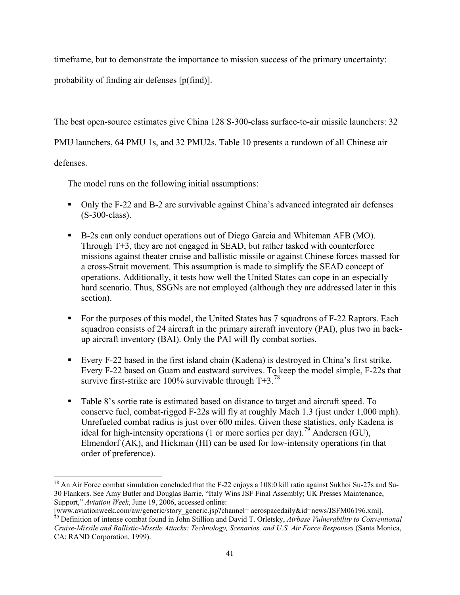timeframe, but to demonstrate the importance to mission success of the primary uncertainty:

probability of finding air defenses [p(find)].

The best open-source estimates give China 128 S-300-class surface-to-air missile launchers: 32

PMU launchers, 64 PMU 1s, and 32 PMU2s. Table 10 presents a rundown of all Chinese air

defenses.

The model runs on the following initial assumptions:

- Only the F-22 and B-2 are survivable against China's advanced integrated air defenses (S-300-class).
- B-2s can only conduct operations out of Diego Garcia and Whiteman AFB (MO). Through T+3, they are not engaged in SEAD, but rather tasked with counterforce missions against theater cruise and ballistic missile or against Chinese forces massed for a cross-Strait movement. This assumption is made to simplify the SEAD concept of operations. Additionally, it tests how well the United States can cope in an especially hard scenario. Thus, SSGNs are not employed (although they are addressed later in this section).
- For the purposes of this model, the United States has 7 squadrons of F-22 Raptors. Each squadron consists of 24 aircraft in the primary aircraft inventory (PAI), plus two in backup aircraft inventory (BAI). Only the PAI will fly combat sorties.
- Every F-22 based in the first island chain (Kadena) is destroyed in China's first strike. Every F-22 based on Guam and eastward survives. To keep the model simple, F-22s that survive first-strike are 100% survivable through  $T+3$ .<sup>[78](#page-43-0)</sup>
- Table 8's sortie rate is estimated based on distance to target and aircraft speed. To conserve fuel, combat-rigged F-22s will fly at roughly Mach 1.3 (just under 1,000 mph). Unrefueled combat radius is just over 600 miles. Given these statistics, only Kadena is ideal for high-intensity operations (1 or more sorties per day).<sup>[79](#page-43-1)</sup> Andersen (GU), Elmendorf (AK), and Hickman (HI) can be used for low-intensity operations (in that order of preference).

<span id="page-43-0"></span> $^{78}$  An Air Force combat simulation concluded that the F-22 enjoys a 108:0 kill ratio against Sukhoi Su-27s and Su-30 Flankers. See Amy Butler and Douglas Barrie, "Italy Wins JSF Final Assembly; UK Presses Maintenance, Support," *Aviation Week*, June 19, 2006, accessed online:

<span id="page-43-1"></span><sup>[</sup>www.aviationweek.com/aw/generic/story\_generic.jsp?channel= aerospacedaily&id=news/JSFM06196.xml]. <sup>79</sup> Definition of intense combat found in John Stillion and David T. Orletsky, *Airbase Vulnerability to Conventional Cruise-Missile and Ballistic-Missile Attacks: Technology, Scenarios, and U.S. Air Force Responses* (Santa Monica, CA: RAND Corporation, 1999).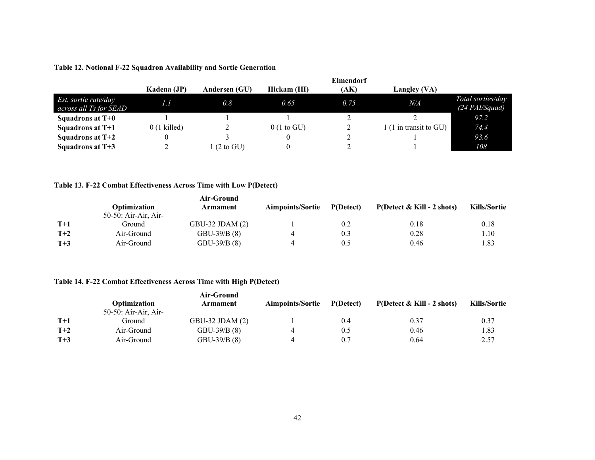|                                                | <b>Elmendorf</b> |                       |                       |      |                        |                                       |
|------------------------------------------------|------------------|-----------------------|-----------------------|------|------------------------|---------------------------------------|
|                                                | Kadena (JP)      | Andersen (GU)         | Hickam (HI)           | (AK) | Langley (VA)           |                                       |
| Est. sortie rate/day<br>across all Ts for SEAD | 1.1              | 0.8                   | 0.65                  | 0.75 | N/A                    | Total sorties/day<br>$(24$ PAI/Squad) |
| Squadrons at $T+0$                             |                  |                       |                       |      |                        | 97.2                                  |
| Squadrons at T+1                               | $0(1$ killed)    |                       | $0(1 \text{ to } GU)$ |      | 1 (1 in transit to GU) | 74.4                                  |
| Squadrons at $T+2$                             |                  |                       |                       |      |                        | 93.6                                  |
| Squadrons at $T+3$                             |                  | $1(2 \text{ to } GU)$ |                       |      |                        | 108                                   |

#### **Table 12. Notional F-22 Squadron Availability and Sortie Generation**

### **Table 13. F-22 Combat Effectiveness Across Time with Low P(Detect)**

<span id="page-44-0"></span>

|       |                      | Air-Ground        |                         |           |                               |                     |
|-------|----------------------|-------------------|-------------------------|-----------|-------------------------------|---------------------|
|       | Optimization         | Armament          | <b>Aimpoints/Sortie</b> | P(Detect) | P(Detect $\&$ Kill - 2 shots) | <b>Kills/Sortie</b> |
|       | 50-50: Air-Air, Air- |                   |                         |           |                               |                     |
| $T+1$ | Ground)              | GBU-32 JDAM $(2)$ |                         | 0.2       | 0.18                          | 0.18                |
| $T+2$ | Air-Ground           | $GBU-39/B(8)$     |                         | 0.3       | 0.28                          | 1.10                |
| $T+3$ | Air-Ground           | GBU-39/B (8)      |                         | 0.5       | 0.46                          | l.83                |

#### **Table 14. F-22 Combat Effectiveness Across Time with High P(Detect)**

<span id="page-44-2"></span><span id="page-44-1"></span>

|       |                      | Air-Ground          |                         |           |                                      |                     |
|-------|----------------------|---------------------|-------------------------|-----------|--------------------------------------|---------------------|
|       | Optimization         | Armament            | <b>Aimpoints/Sortie</b> | P(Detect) | $P(Detect & Kill - 2 \text{ shots})$ | <b>Kills/Sortie</b> |
|       | 50-50: Air-Air, Air- |                     |                         |           |                                      |                     |
| $T+1$ | Ground)              | $GBU-32$ JDAM $(2)$ |                         | 0.4       | 0.37                                 | 0.37                |
| $T+2$ | Air-Ground           | $GBU-39/B(8)$       |                         | 0.5       | 0.46                                 | l.83                |
| $T+3$ | Air-Ground           | $GBU-39/B(8)$       |                         | 0.7       | 0.64                                 | 2.57                |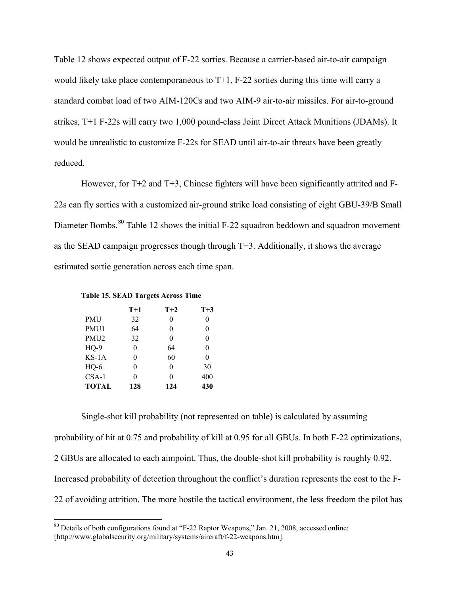Table 12 shows expected output of F-22 sorties. Because a carrier-based air-to-air campaign would likely take place contemporaneous to T+1, F-22 sorties during this time will carry a standard combat load of two AIM-120Cs and two AIM-9 air-to-air missiles. For air-to-ground strikes, T+1 F-22s will carry two 1,000 pound-class Joint Direct Attack Munitions (JDAMs). It would be unrealistic to customize F-22s for SEAD until air-to-air threats have been greatly reduced.

However, for T+2 and T+3, Chinese fighters will have been significantly attrited and F-22s can fly sorties with a customized air-ground strike load consisting of eight GBU-39/B Small Diameter Bombs.<sup>[80](#page-45-1)</sup> Table 12 shows the initial F-22 squadron beddown and squadron movement as the SEAD campaign progresses though through T+3. Additionally, it shows the average estimated sortie generation across each time span.

#### <span id="page-45-0"></span>**Table 15. SEAD Targets Across Time**

|                  | $T+1$ | $T+2$ | $T+3$ |
|------------------|-------|-------|-------|
| <b>PMU</b>       | 32    | 0     | 0     |
| PMU1             | 64    | 0     | 0     |
| PMU <sub>2</sub> | 32    | 0     | 0     |
| $HQ-9$           | 0     | 64    | 0     |
| $KS-1A$          | 0     | 60    | 0     |
| $HO-6$           | 0     | 0     | 30    |
| $CSA-1$          | 0     | 0     | 400   |
| <b>TOTAL</b>     | 128   | 124   | 430   |

Single-shot kill probability (not represented on table) is calculated by assuming probability of hit at 0.75 and probability of kill at 0.95 for all GBUs. In both F-22 optimizations, 2 GBUs are allocated to each aimpoint. Thus, the double-shot kill probability is roughly 0.92. Increased probability of detection throughout the conflict's duration represents the cost to the F-22 of avoiding attrition. The more hostile the tactical environment, the less freedom the pilot has

<span id="page-45-1"></span><sup>&</sup>lt;sup>80</sup> Details of both configurations found at "F-22 Raptor Weapons," Jan. 21, 2008, accessed online: [http://www.globalsecurity.org/military/systems/aircraft/f-22-weapons.htm].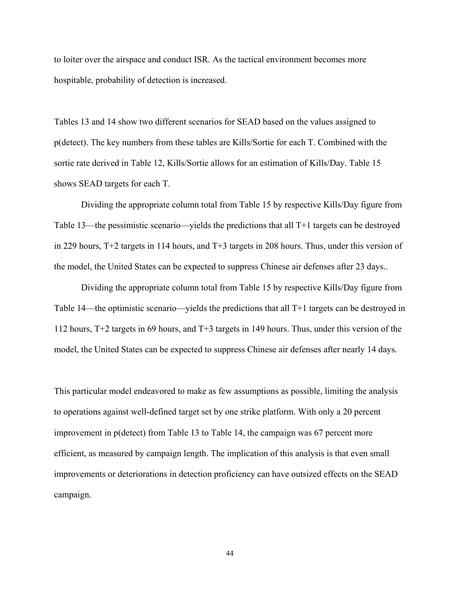to loiter over the airspace and conduct ISR. As the tactical environment becomes more hospitable, probability of detection is increased.

Tables 13 and 14 show two different scenarios for SEAD based on the values assigned to p(detect). The key numbers from these tables are Kills/Sortie for each T. Combined with the sortie rate derived in Table 12, Kills/Sortie allows for an estimation of Kills/Day. Table 15 shows SEAD targets for each T.

Dividing the appropriate column total from Table 15 by respective Kills/Day figure from Table 13—the pessimistic scenario—yields the predictions that all T+1 targets can be destroyed in 229 hours, T+2 targets in 114 hours, and T+3 targets in 208 hours. Thus, under this version of the model, the United States can be expected to suppress Chinese air defenses after 23 days..

Dividing the appropriate column total from Table 15 by respective Kills/Day figure from Table 14—the optimistic scenario—yields the predictions that all T+1 targets can be destroyed in 112 hours, T+2 targets in 69 hours, and T+3 targets in 149 hours. Thus, under this version of the model, the United States can be expected to suppress Chinese air defenses after nearly 14 days.

This particular model endeavored to make as few assumptions as possible, limiting the analysis to operations against well-defined target set by one strike platform. With only a 20 percent improvement in p(detect) from Table 13 to Table 14, the campaign was 67 percent more efficient, as measured by campaign length. The implication of this analysis is that even small improvements or deteriorations in detection proficiency can have outsized effects on the SEAD campaign.

44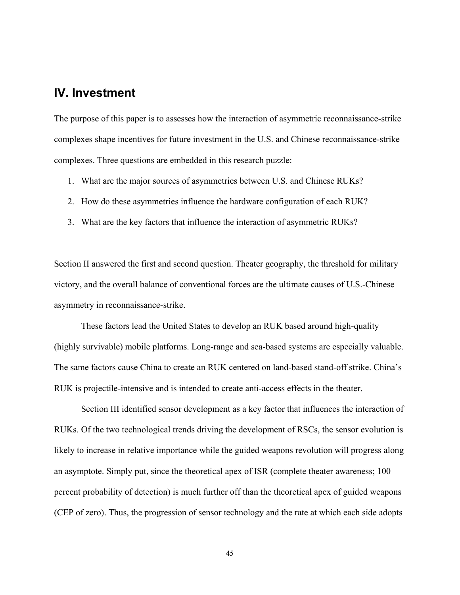# <span id="page-47-0"></span>**IV. Investment**

The purpose of this paper is to assesses how the interaction of asymmetric reconnaissance-strike complexes shape incentives for future investment in the U.S. and Chinese reconnaissance-strike complexes. Three questions are embedded in this research puzzle:

- 1. What are the major sources of asymmetries between U.S. and Chinese RUKs?
- 2. How do these asymmetries influence the hardware configuration of each RUK?
- 3. What are the key factors that influence the interaction of asymmetric RUKs?

Section II answered the first and second question. Theater geography, the threshold for military victory, and the overall balance of conventional forces are the ultimate causes of U.S.-Chinese asymmetry in reconnaissance-strike.

These factors lead the United States to develop an RUK based around high-quality (highly survivable) mobile platforms. Long-range and sea-based systems are especially valuable. The same factors cause China to create an RUK centered on land-based stand-off strike. China's RUK is projectile-intensive and is intended to create anti-access effects in the theater.

Section III identified sensor development as a key factor that influences the interaction of RUKs. Of the two technological trends driving the development of RSCs, the sensor evolution is likely to increase in relative importance while the guided weapons revolution will progress along an asymptote. Simply put, since the theoretical apex of ISR (complete theater awareness; 100 percent probability of detection) is much further off than the theoretical apex of guided weapons (CEP of zero). Thus, the progression of sensor technology and the rate at which each side adopts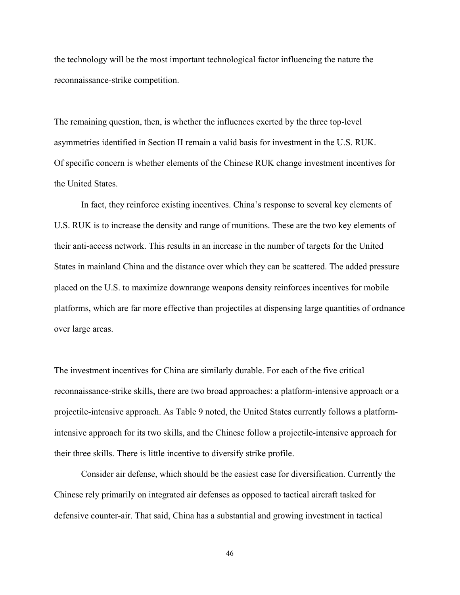the technology will be the most important technological factor influencing the nature the reconnaissance-strike competition.

The remaining question, then, is whether the influences exerted by the three top-level asymmetries identified in Section II remain a valid basis for investment in the U.S. RUK. Of specific concern is whether elements of the Chinese RUK change investment incentives for the United States.

In fact, they reinforce existing incentives. China's response to several key elements of U.S. RUK is to increase the density and range of munitions. These are the two key elements of their anti-access network. This results in an increase in the number of targets for the United States in mainland China and the distance over which they can be scattered. The added pressure placed on the U.S. to maximize downrange weapons density reinforces incentives for mobile platforms, which are far more effective than projectiles at dispensing large quantities of ordnance over large areas.

The investment incentives for China are similarly durable. For each of the five critical reconnaissance-strike skills, there are two broad approaches: a platform-intensive approach or a projectile-intensive approach. As Table 9 noted, the United States currently follows a platformintensive approach for its two skills, and the Chinese follow a projectile-intensive approach for their three skills. There is little incentive to diversify strike profile.

Consider air defense, which should be the easiest case for diversification. Currently the Chinese rely primarily on integrated air defenses as opposed to tactical aircraft tasked for defensive counter-air. That said, China has a substantial and growing investment in tactical

46